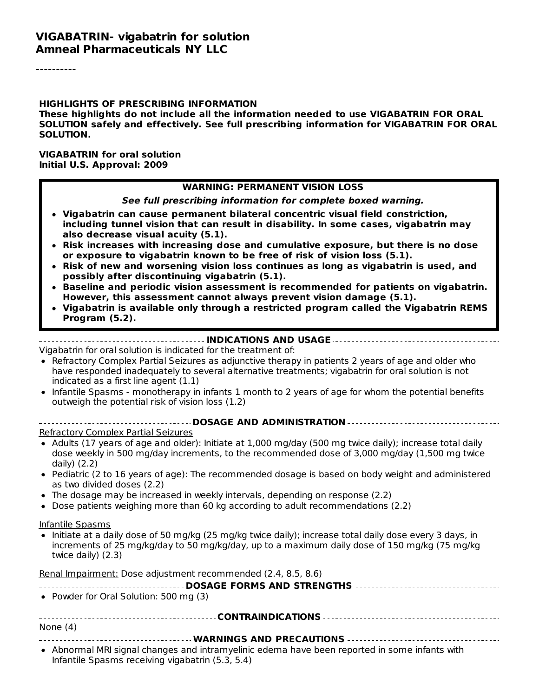#### **VIGABATRIN- vigabatrin for solution Amneal Pharmaceuticals NY LLC**

----------

#### **HIGHLIGHTS OF PRESCRIBING INFORMATION**

**These highlights do not include all the information needed to use VIGABATRIN FOR ORAL SOLUTION safely and effectively. See full prescribing information for VIGABATRIN FOR ORAL SOLUTION.**

**VIGABATRIN for oral solution Initial U.S. Approval: 2009**

#### **WARNING: PERMANENT VISION LOSS**

**See full prescribing information for complete boxed warning.**

- **Vigabatrin can cause permanent bilateral concentric visual field constriction, including tunnel vision that can result in disability. In some cases, vigabatrin may also decrease visual acuity (5.1).**
- **Risk increases with increasing dose and cumulative exposure, but there is no dose or exposure to vigabatrin known to be free of risk of vision loss (5.1).**
- **Risk of new and worsening vision loss continues as long as vigabatrin is used, and possibly after discontinuing vigabatrin (5.1).**
- **Baseline and periodic vision assessment is recommended for patients on vigabatrin. However, this assessment cannot always prevent vision damage (5.1).**
- **Vigabatrin is available only through a restricted program called the Vigabatrin REMS Program (5.2).**

#### **INDICATIONS AND USAGE**

Vigabatrin for oral solution is indicated for the treatment of:

- Refractory Complex Partial Seizures as adjunctive therapy in patients 2 years of age and older who have responded inadequately to several alternative treatments; vigabatrin for oral solution is not indicated as a first line agent (1.1)
- Infantile Spasms monotherapy in infants 1 month to 2 years of age for whom the potential benefits outweigh the potential risk of vision loss (1.2)

| <b>Refractory Complex Partial Seizures</b> |  |  |  |  |
|--------------------------------------------|--|--|--|--|

- Adults (17 years of age and older): Initiate at 1,000 mg/day (500 mg twice daily); increase total daily dose weekly in 500 mg/day increments, to the recommended dose of 3,000 mg/day (1,500 mg twice daily) (2.2)
- Pediatric (2 to 16 years of age): The recommended dosage is based on body weight and administered as two divided doses (2.2)
- The dosage may be increased in weekly intervals, depending on response (2.2)
- Dose patients weighing more than 60 kg according to adult recommendations (2.2)

#### Infantile Spasms

• Initiate at a daily dose of 50 mg/kg (25 mg/kg twice daily); increase total daily dose every 3 days, in increments of 25 mg/kg/day to 50 mg/kg/day, up to a maximum daily dose of 150 mg/kg (75 mg/kg twice daily) (2.3)

Renal Impairment: Dose adjustment recommended (2.4, 8.5, 8.6)

| • Powder for Oral Solution: 500 mg (3)                                                                                                            |  |  |  |
|---------------------------------------------------------------------------------------------------------------------------------------------------|--|--|--|
|                                                                                                                                                   |  |  |  |
| None $(4)$                                                                                                                                        |  |  |  |
|                                                                                                                                                   |  |  |  |
| • Abnormal MRI signal changes and intramyelinic edema have been reported in some infants with<br>Infantile Spasms receiving vigabatrin (5.3, 5.4) |  |  |  |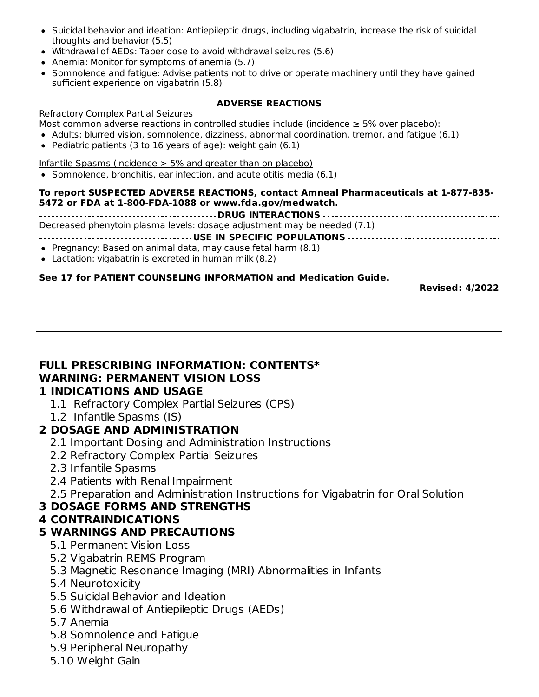- Suicidal behavior and ideation: Antiepileptic drugs, including vigabatrin, increase the risk of suicidal thoughts and behavior (5.5)
- Withdrawal of AEDs: Taper dose to avoid withdrawal seizures (5.6)
- Anemia: Monitor for symptoms of anemia (5.7)
- Somnolence and fatigue: Advise patients not to drive or operate machinery until they have gained sufficient experience on vigabatrin (5.8)

#### **ADVERSE REACTIONS** Refractory Complex Partial Seizures

Most common adverse reactions in controlled studies include (incidence  $\geq$  5% over placebo):

- Adults: blurred vision, somnolence, dizziness, abnormal coordination, tremor, and fatigue (6.1)
- Pediatric patients (3 to 16 years of age): weight gain  $(6.1)$

Infantile Spasms (incidence  $>$  5% and greater than on placebo)

• Somnolence, bronchitis, ear infection, and acute otitis media (6.1)

#### **To report SUSPECTED ADVERSE REACTIONS, contact Amneal Pharmaceuticals at 1-877-835- 5472 or FDA at 1-800-FDA-1088 or www.fda.gov/medwatch.**

**DRUG INTERACTIONS** Decreased phenytoin plasma levels: dosage adjustment may be needed (7.1)

# **USE IN SPECIFIC POPULATIONS**

- Pregnancy: Based on animal data, may cause fetal harm (8.1)
- Lactation: vigabatrin is excreted in human milk (8.2)

#### **See 17 for PATIENT COUNSELING INFORMATION and Medication Guide.**

**Revised: 4/2022**

# **FULL PRESCRIBING INFORMATION: CONTENTS\* WARNING: PERMANENT VISION LOSS**

#### **1 INDICATIONS AND USAGE**

- 1.1 Refractory Complex Partial Seizures (CPS)
- 1.2 Infantile Spasms (IS)

#### **2 DOSAGE AND ADMINISTRATION**

- 2.1 Important Dosing and Administration Instructions
- 2.2 Refractory Complex Partial Seizures
- 2.3 Infantile Spasms
- 2.4 Patients with Renal Impairment
- 2.5 Preparation and Administration Instructions for Vigabatrin for Oral Solution

#### **3 DOSAGE FORMS AND STRENGTHS**

### **4 CONTRAINDICATIONS**

#### **5 WARNINGS AND PRECAUTIONS**

- 5.1 Permanent Vision Loss
- 5.2 Vigabatrin REMS Program
- 5.3 Magnetic Resonance Imaging (MRI) Abnormalities in Infants
- 5.4 Neurotoxicity
- 5.5 Suicidal Behavior and Ideation
- 5.6 Withdrawal of Antiepileptic Drugs (AEDs)
- 5.7 Anemia
- 5.8 Somnolence and Fatigue
- 5.9 Peripheral Neuropathy
- 5.10 Weight Gain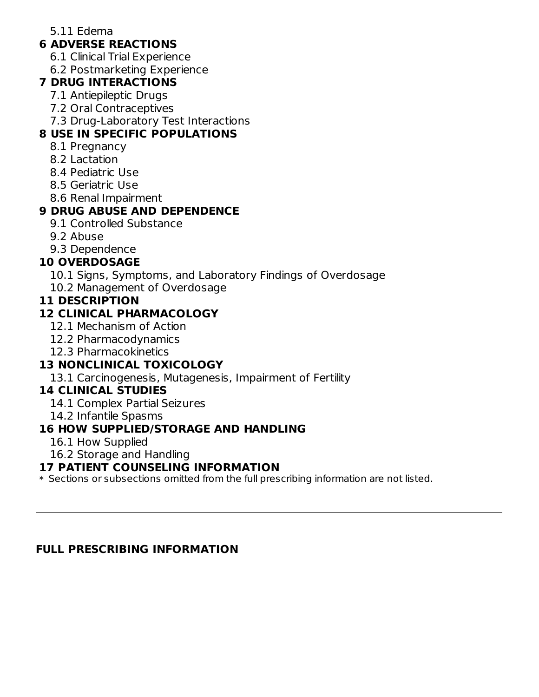#### 5.11 Edema

# **6 ADVERSE REACTIONS**

- 6.1 Clinical Trial Experience
- 6.2 Postmarketing Experience

### **7 DRUG INTERACTIONS**

- 7.1 Antiepileptic Drugs
- 7.2 Oral Contraceptives
- 7.3 Drug-Laboratory Test Interactions

# **8 USE IN SPECIFIC POPULATIONS**

- 8.1 Pregnancy
- 8.2 Lactation
- 8.4 Pediatric Use
- 8.5 Geriatric Use
- 8.6 Renal Impairment

# **9 DRUG ABUSE AND DEPENDENCE**

- 9.1 Controlled Substance
- 9.2 Abuse
- 9.3 Dependence

# **10 OVERDOSAGE**

- 10.1 Signs, Symptoms, and Laboratory Findings of Overdosage
- 10.2 Management of Overdosage

# **11 DESCRIPTION**

# **12 CLINICAL PHARMACOLOGY**

- 12.1 Mechanism of Action
- 12.2 Pharmacodynamics
- 12.3 Pharmacokinetics

# **13 NONCLINICAL TOXICOLOGY**

13.1 Carcinogenesis, Mutagenesis, Impairment of Fertility

# **14 CLINICAL STUDIES**

- 14.1 Complex Partial Seizures
- 14.2 Infantile Spasms

# **16 HOW SUPPLIED/STORAGE AND HANDLING**

- 16.1 How Supplied
- 16.2 Storage and Handling

# **17 PATIENT COUNSELING INFORMATION**

 $\ast$  Sections or subsections omitted from the full prescribing information are not listed.

# **FULL PRESCRIBING INFORMATION**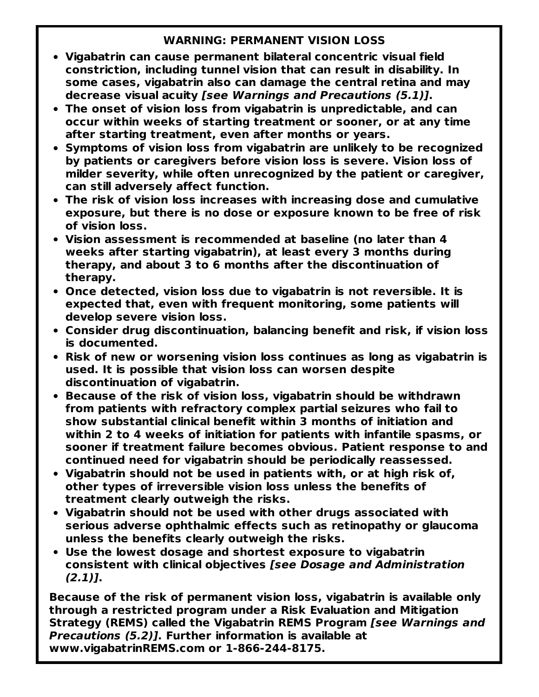### **WARNING: PERMANENT VISION LOSS**

- **Vigabatrin can cause permanent bilateral concentric visual field constriction, including tunnel vision that can result in disability. In some cases, vigabatrin also can damage the central retina and may decrease visual acuity [see Warnings and Precautions (5.1)].**
- **The onset of vision loss from vigabatrin is unpredictable, and can occur within weeks of starting treatment or sooner, or at any time after starting treatment, even after months or years.**
- **Symptoms of vision loss from vigabatrin are unlikely to be recognized by patients or caregivers before vision loss is severe. Vision loss of milder severity, while often unrecognized by the patient or caregiver, can still adversely affect function.**
- **The risk of vision loss increases with increasing dose and cumulative exposure, but there is no dose or exposure known to be free of risk of vision loss.**
- **Vision assessment is recommended at baseline (no later than 4 weeks after starting vigabatrin), at least every 3 months during therapy, and about 3 to 6 months after the discontinuation of therapy.**
- **Once detected, vision loss due to vigabatrin is not reversible. It is expected that, even with frequent monitoring, some patients will develop severe vision loss.**
- **Consider drug discontinuation, balancing benefit and risk, if vision loss is documented.**
- **Risk of new or worsening vision loss continues as long as vigabatrin is used. It is possible that vision loss can worsen despite discontinuation of vigabatrin.**
- **Because of the risk of vision loss, vigabatrin should be withdrawn from patients with refractory complex partial seizures who fail to show substantial clinical benefit within 3 months of initiation and within 2 to 4 weeks of initiation for patients with infantile spasms, or sooner if treatment failure becomes obvious. Patient response to and continued need for vigabatrin should be periodically reassessed.**
- **Vigabatrin should not be used in patients with, or at high risk of, other types of irreversible vision loss unless the benefits of treatment clearly outweigh the risks.**
- **Vigabatrin should not be used with other drugs associated with serious adverse ophthalmic effects such as retinopathy or glaucoma unless the benefits clearly outweigh the risks.**
- **Use the lowest dosage and shortest exposure to vigabatrin consistent with clinical objectives [see Dosage and Administration (2.1)].**

**Because of the risk of permanent vision loss, vigabatrin is available only through a restricted program under a Risk Evaluation and Mitigation Strategy (REMS) called the Vigabatrin REMS Program [see Warnings and Precautions (5.2)]. Further information is available at www.vigabatrinREMS.com or 1-866-244-8175.**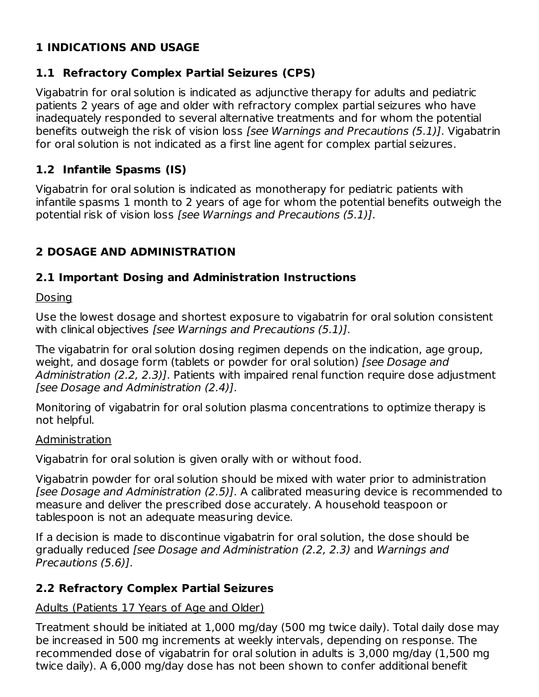# **1 INDICATIONS AND USAGE**

# **1.1 Refractory Complex Partial Seizures (CPS)**

Vigabatrin for oral solution is indicated as adjunctive therapy for adults and pediatric patients 2 years of age and older with refractory complex partial seizures who have inadequately responded to several alternative treatments and for whom the potential benefits outweigh the risk of vision loss [see Warnings and Precautions (5.1)]. Vigabatrin for oral solution is not indicated as a first line agent for complex partial seizures.

# **1.2 Infantile Spasms (IS)**

Vigabatrin for oral solution is indicated as monotherapy for pediatric patients with infantile spasms 1 month to 2 years of age for whom the potential benefits outweigh the potential risk of vision loss [see Warnings and Precautions (5.1)].

# **2 DOSAGE AND ADMINISTRATION**

# **2.1 Important Dosing and Administration Instructions**

### Dosing

Use the lowest dosage and shortest exposure to vigabatrin for oral solution consistent with clinical objectives [see Warnings and Precautions (5.1)].

The vigabatrin for oral solution dosing regimen depends on the indication, age group, weight, and dosage form (tablets or powder for oral solution) [see Dosage and Administration (2.2, 2.3)]. Patients with impaired renal function require dose adjustment [see Dosage and Administration (2.4)].

Monitoring of vigabatrin for oral solution plasma concentrations to optimize therapy is not helpful.

### Administration

Vigabatrin for oral solution is given orally with or without food.

Vigabatrin powder for oral solution should be mixed with water prior to administration [see Dosage and Administration (2.5)]. A calibrated measuring device is recommended to measure and deliver the prescribed dose accurately. A household teaspoon or tablespoon is not an adequate measuring device.

If a decision is made to discontinue vigabatrin for oral solution, the dose should be gradually reduced [see Dosage and Administration (2.2, 2.3) and Warnings and Precautions (5.6)].

# **2.2 Refractory Complex Partial Seizures**

# Adults (Patients 17 Years of Age and Older)

Treatment should be initiated at 1,000 mg/day (500 mg twice daily). Total daily dose may be increased in 500 mg increments at weekly intervals, depending on response. The recommended dose of vigabatrin for oral solution in adults is 3,000 mg/day (1,500 mg twice daily). A 6,000 mg/day dose has not been shown to confer additional benefit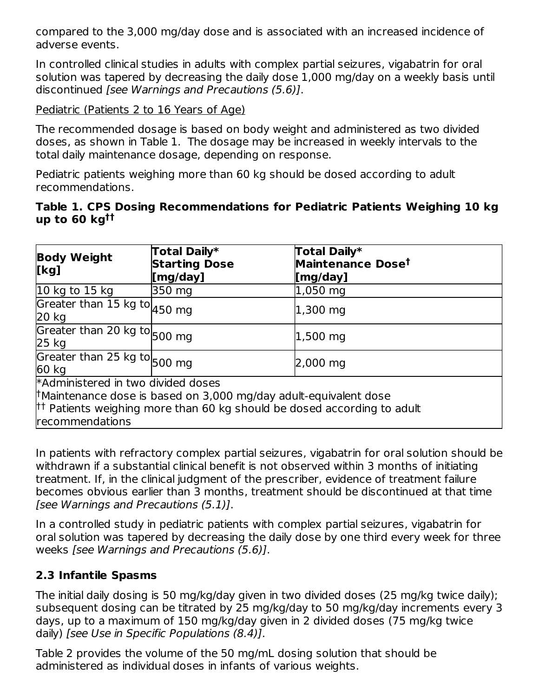compared to the 3,000 mg/day dose and is associated with an increased incidence of adverse events.

In controlled clinical studies in adults with complex partial seizures, vigabatrin for oral solution was tapered by decreasing the daily dose 1,000 mg/day on a weekly basis until discontinued [see Warnings and Precautions (5.6)].

Pediatric (Patients 2 to 16 Years of Age)

The recommended dosage is based on body weight and administered as two divided doses, as shown in Table 1. The dosage may be increased in weekly intervals to the total daily maintenance dosage, depending on response.

Pediatric patients weighing more than 60 kg should be dosed according to adult recommendations.

### **Table 1. CPS Dosing Recommendations for Pediatric Patients Weighing 10 kg up to 60 kg ††**

| <b>Body Weight</b><br>[kg]                                | Total Daily*<br><b>Starting Dose</b><br>[mg/day]                                                                                                      | <b>Total Daily*</b><br>Maintenance Dose <sup>t</sup><br>[mg/day] |
|-----------------------------------------------------------|-------------------------------------------------------------------------------------------------------------------------------------------------------|------------------------------------------------------------------|
| 10 kg to 15 kg                                            | 350 mg                                                                                                                                                | 1,050 mg                                                         |
| Greater than $15 \text{ kg}$ to $450 \text{ mg}$<br>20 kg |                                                                                                                                                       | 1,300 mg                                                         |
| Greater than 20 kg to 500 mg<br>25 kg                     |                                                                                                                                                       | $1,500$ mg                                                       |
| Greater than 25 kg to 500 mg<br>60 kg                     |                                                                                                                                                       | 2,000 mg                                                         |
| *Administered in two divided doses<br>recommendations     | Maintenance dose is based on 3,000 mg/day adult-equivalent dose<br><sup>††</sup> Patients weighing more than 60 kg should be dosed according to adult |                                                                  |

In patients with refractory complex partial seizures, vigabatrin for oral solution should be withdrawn if a substantial clinical benefit is not observed within 3 months of initiating treatment. If, in the clinical judgment of the prescriber, evidence of treatment failure becomes obvious earlier than 3 months, treatment should be discontinued at that time [see Warnings and Precautions (5.1)].

In a controlled study in pediatric patients with complex partial seizures, vigabatrin for oral solution was tapered by decreasing the daily dose by one third every week for three weeks [see Warnings and Precautions (5.6)].

# **2.3 Infantile Spasms**

The initial daily dosing is 50 mg/kg/day given in two divided doses (25 mg/kg twice daily); subsequent dosing can be titrated by 25 mg/kg/day to 50 mg/kg/day increments every 3 days, up to a maximum of 150 mg/kg/day given in 2 divided doses (75 mg/kg twice daily) [see Use in Specific Populations (8.4)].

Table 2 provides the volume of the 50 mg/mL dosing solution that should be administered as individual doses in infants of various weights.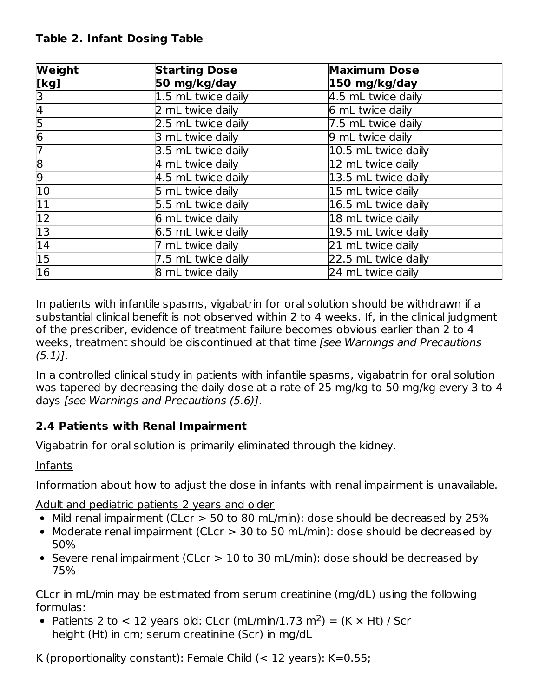# **Table 2. Infant Dosing Table**

| Weight                  | <b>Starting Dose</b> | <b>Maximum Dose</b> |
|-------------------------|----------------------|---------------------|
| [kg]                    | 50 mg/kg/day         | 150 mg/kg/day       |
| β                       | 1.5 mL twice daily   | 4.5 mL twice daily  |
| $\overline{\mathsf{4}}$ | 2 mL twice daily     | 6 mL twice daily    |
| $\frac{5}{6}$           | 2.5 mL twice daily   | 7.5 mL twice daily  |
|                         | 3 mL twice daily     | 9 mL twice daily    |
| 7                       | 3.5 mL twice daily   | 10.5 mL twice daily |
| $\overline{8}$          | 4 mL twice daily     | 12 mL twice daily   |
| 9                       | 4.5 mL twice daily   | 13.5 mL twice daily |
| 10                      | 5 mL twice daily     | 15 mL twice daily   |
| $\overline{11}$         | 5.5 mL twice daily   | 16.5 mL twice daily |
| $\overline{12}$         | 6 mL twice daily     | 18 mL twice daily   |
| $\overline{13}$         | 6.5 mL twice daily   | 19.5 mL twice daily |
| $\overline{14}$         | 7 mL twice daily     | 21 mL twice daily   |
| $\overline{15}$         | 7.5 mL twice daily   | 22.5 mL twice daily |
| $\overline{16}$         | 8 mL twice daily     | 24 mL twice daily   |

In patients with infantile spasms, vigabatrin for oral solution should be withdrawn if a substantial clinical benefit is not observed within 2 to 4 weeks. If, in the clinical judgment of the prescriber, evidence of treatment failure becomes obvious earlier than 2 to 4 weeks, treatment should be discontinued at that time [see Warnings and Precautions  $(5.1)$ ].

In a controlled clinical study in patients with infantile spasms, vigabatrin for oral solution was tapered by decreasing the daily dose at a rate of 25 mg/kg to 50 mg/kg every 3 to 4 days [see Warnings and Precautions (5.6)].

# **2.4 Patients with Renal Impairment**

Vigabatrin for oral solution is primarily eliminated through the kidney.

Infants

Information about how to adjust the dose in infants with renal impairment is unavailable.

Adult and pediatric patients 2 years and older

- Mild renal impairment (CLcr > 50 to 80 mL/min): dose should be decreased by 25%
- Moderate renal impairment (CLcr > 30 to 50 mL/min): dose should be decreased by 50%
- Severe renal impairment (CLcr > 10 to 30 mL/min): dose should be decreased by 75%

CLcr in mL/min may be estimated from serum creatinine (mg/dL) using the following formulas:

Patients 2 to < 12 years old: CLcr (mL/min/1.73 m<sup>2</sup>) = (K  $\times$  Ht) / Scr height (Ht) in cm; serum creatinine (Scr) in mg/dL

K (proportionality constant): Female Child  $(< 12$  years): K=0.55;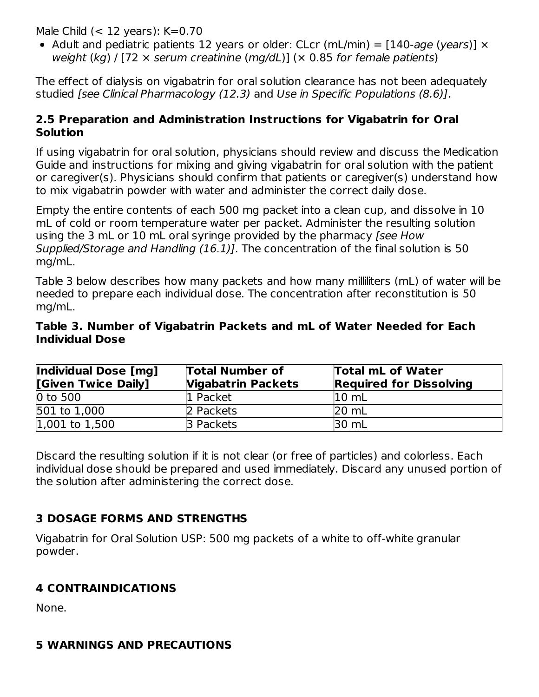Male Child  $(< 12$  years):  $K=0.70$ 

• Adult and pediatric patients 12 years or older: CLcr (mL/min) =  $[140\text{-}aqe (years)] \times$ weight (kg) / [72  $\times$  serum creatinine (mg/dL)] ( $\times$  0.85 for female patients)

The effect of dialysis on vigabatrin for oral solution clearance has not been adequately studied [see Clinical Pharmacology (12.3) and Use in Specific Populations (8.6)].

### **2.5 Preparation and Administration Instructions for Vigabatrin for Oral Solution**

If using vigabatrin for oral solution, physicians should review and discuss the Medication Guide and instructions for mixing and giving vigabatrin for oral solution with the patient or caregiver(s). Physicians should confirm that patients or caregiver(s) understand how to mix vigabatrin powder with water and administer the correct daily dose.

Empty the entire contents of each 500 mg packet into a clean cup, and dissolve in 10 mL of cold or room temperature water per packet. Administer the resulting solution using the 3 mL or 10 mL oral syringe provided by the pharmacy (see How Supplied/Storage and Handling (16.1)]. The concentration of the final solution is 50 mg/mL.

Table 3 below describes how many packets and how many milliliters (mL) of water will be needed to prepare each individual dose. The concentration after reconstitution is 50 mg/mL.

### **Table 3. Number of Vigabatrin Packets and mL of Water Needed for Each Individual Dose**

| Individual Dose [mg]<br>[Given Twice Daily] | <b>Total Number of</b><br><b>Vigabatrin Packets</b> | Total mL of Water<br><b>Required for Dissolving</b> |
|---------------------------------------------|-----------------------------------------------------|-----------------------------------------------------|
| 0 to 500                                    | 1 Packet                                            | $10 \text{ mL}$                                     |
| 501 to 1,000                                | 2 Packets                                           | $20 \text{ mL}$                                     |
| $ 1,001$ to $1,500$                         | 3 Packets                                           | 30 mL                                               |

Discard the resulting solution if it is not clear (or free of particles) and colorless. Each individual dose should be prepared and used immediately. Discard any unused portion of the solution after administering the correct dose.

# **3 DOSAGE FORMS AND STRENGTHS**

Vigabatrin for Oral Solution USP: 500 mg packets of a white to off-white granular powder.

# **4 CONTRAINDICATIONS**

None.

# **5 WARNINGS AND PRECAUTIONS**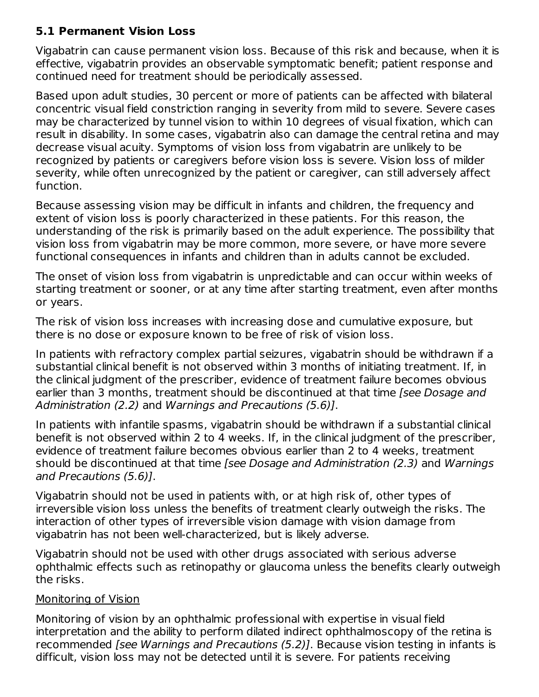# **5.1 Permanent Vision Loss**

Vigabatrin can cause permanent vision loss. Because of this risk and because, when it is effective, vigabatrin provides an observable symptomatic benefit; patient response and continued need for treatment should be periodically assessed.

Based upon adult studies, 30 percent or more of patients can be affected with bilateral concentric visual field constriction ranging in severity from mild to severe. Severe cases may be characterized by tunnel vision to within 10 degrees of visual fixation, which can result in disability. In some cases, vigabatrin also can damage the central retina and may decrease visual acuity. Symptoms of vision loss from vigabatrin are unlikely to be recognized by patients or caregivers before vision loss is severe. Vision loss of milder severity, while often unrecognized by the patient or caregiver, can still adversely affect function.

Because assessing vision may be difficult in infants and children, the frequency and extent of vision loss is poorly characterized in these patients. For this reason, the understanding of the risk is primarily based on the adult experience. The possibility that vision loss from vigabatrin may be more common, more severe, or have more severe functional consequences in infants and children than in adults cannot be excluded.

The onset of vision loss from vigabatrin is unpredictable and can occur within weeks of starting treatment or sooner, or at any time after starting treatment, even after months or years.

The risk of vision loss increases with increasing dose and cumulative exposure, but there is no dose or exposure known to be free of risk of vision loss.

In patients with refractory complex partial seizures, vigabatrin should be withdrawn if a substantial clinical benefit is not observed within 3 months of initiating treatment. If, in the clinical judgment of the prescriber, evidence of treatment failure becomes obvious earlier than 3 months, treatment should be discontinued at that time (see Dosage and Administration (2.2) and Warnings and Precautions (5.6)].

In patients with infantile spasms, vigabatrin should be withdrawn if a substantial clinical benefit is not observed within 2 to 4 weeks. If, in the clinical judgment of the prescriber, evidence of treatment failure becomes obvious earlier than 2 to 4 weeks, treatment should be discontinued at that time [see Dosage and Administration (2.3) and Warnings and Precautions (5.6)].

Vigabatrin should not be used in patients with, or at high risk of, other types of irreversible vision loss unless the benefits of treatment clearly outweigh the risks. The interaction of other types of irreversible vision damage with vision damage from vigabatrin has not been well-characterized, but is likely adverse.

Vigabatrin should not be used with other drugs associated with serious adverse ophthalmic effects such as retinopathy or glaucoma unless the benefits clearly outweigh the risks.

### Monitoring of Vision

Monitoring of vision by an ophthalmic professional with expertise in visual field interpretation and the ability to perform dilated indirect ophthalmoscopy of the retina is recommended [see Warnings and Precautions (5.2)]. Because vision testing in infants is difficult, vision loss may not be detected until it is severe. For patients receiving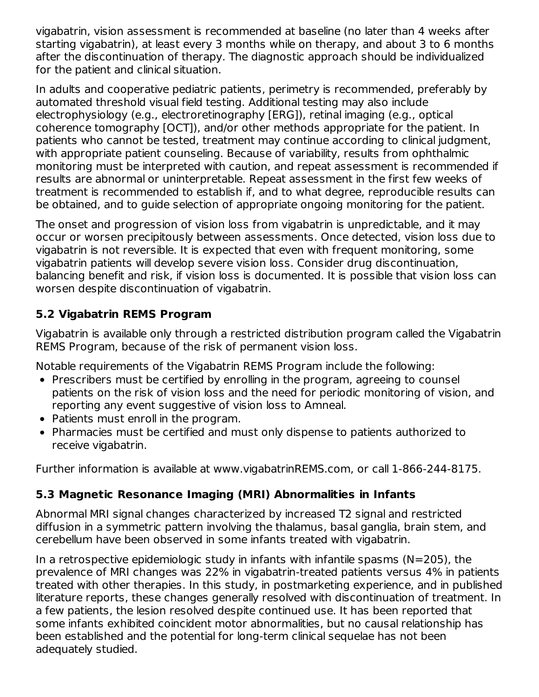vigabatrin, vision assessment is recommended at baseline (no later than 4 weeks after starting vigabatrin), at least every 3 months while on therapy, and about 3 to 6 months after the discontinuation of therapy. The diagnostic approach should be individualized for the patient and clinical situation.

In adults and cooperative pediatric patients, perimetry is recommended, preferably by automated threshold visual field testing. Additional testing may also include electrophysiology (e.g., electroretinography [ERG]), retinal imaging (e.g., optical coherence tomography [OCT]), and/or other methods appropriate for the patient. In patients who cannot be tested, treatment may continue according to clinical judgment, with appropriate patient counseling. Because of variability, results from ophthalmic monitoring must be interpreted with caution, and repeat assessment is recommended if results are abnormal or uninterpretable. Repeat assessment in the first few weeks of treatment is recommended to establish if, and to what degree, reproducible results can be obtained, and to guide selection of appropriate ongoing monitoring for the patient.

The onset and progression of vision loss from vigabatrin is unpredictable, and it may occur or worsen precipitously between assessments. Once detected, vision loss due to vigabatrin is not reversible. It is expected that even with frequent monitoring, some vigabatrin patients will develop severe vision loss. Consider drug discontinuation, balancing benefit and risk, if vision loss is documented. It is possible that vision loss can worsen despite discontinuation of vigabatrin.

# **5.2 Vigabatrin REMS Program**

Vigabatrin is available only through a restricted distribution program called the Vigabatrin REMS Program, because of the risk of permanent vision loss.

Notable requirements of the Vigabatrin REMS Program include the following:

- Prescribers must be certified by enrolling in the program, agreeing to counsel patients on the risk of vision loss and the need for periodic monitoring of vision, and reporting any event suggestive of vision loss to Amneal.
- Patients must enroll in the program.
- Pharmacies must be certified and must only dispense to patients authorized to receive vigabatrin.

Further information is available at www.vigabatrinREMS.com, or call 1-866-244-8175.

# **5.3 Magnetic Resonance Imaging (MRI) Abnormalities in Infants**

Abnormal MRI signal changes characterized by increased T2 signal and restricted diffusion in a symmetric pattern involving the thalamus, basal ganglia, brain stem, and cerebellum have been observed in some infants treated with vigabatrin.

In a retrospective epidemiologic study in infants with infantile spasms ( $N=205$ ), the prevalence of MRI changes was 22% in vigabatrin-treated patients versus 4% in patients treated with other therapies. In this study, in postmarketing experience, and in published literature reports, these changes generally resolved with discontinuation of treatment. In a few patients, the lesion resolved despite continued use. It has been reported that some infants exhibited coincident motor abnormalities, but no causal relationship has been established and the potential for long-term clinical sequelae has not been adequately studied.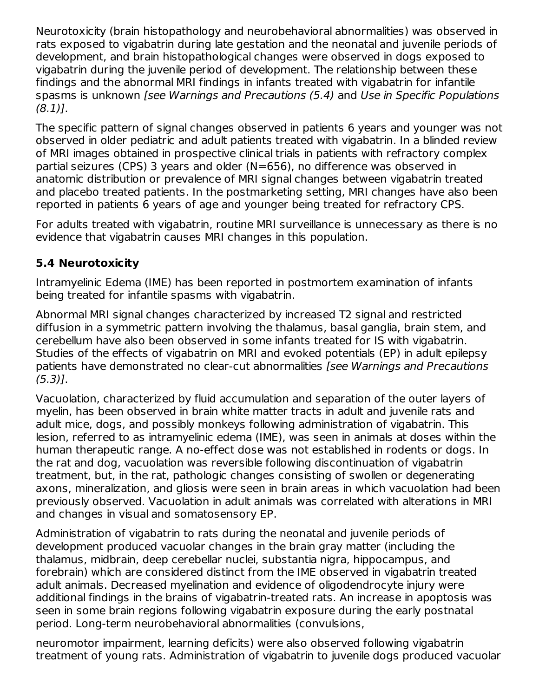Neurotoxicity (brain histopathology and neurobehavioral abnormalities) was observed in rats exposed to vigabatrin during late gestation and the neonatal and juvenile periods of development, and brain histopathological changes were observed in dogs exposed to vigabatrin during the juvenile period of development. The relationship between these findings and the abnormal MRI findings in infants treated with vigabatrin for infantile spasms is unknown [see Warnings and Precautions (5.4) and Use in Specific Populations (8.1)].

The specific pattern of signal changes observed in patients 6 years and younger was not observed in older pediatric and adult patients treated with vigabatrin. In a blinded review of MRI images obtained in prospective clinical trials in patients with refractory complex partial seizures (CPS) 3 years and older (N=656), no difference was observed in anatomic distribution or prevalence of MRI signal changes between vigabatrin treated and placebo treated patients. In the postmarketing setting, MRI changes have also been reported in patients 6 years of age and younger being treated for refractory CPS.

For adults treated with vigabatrin, routine MRI surveillance is unnecessary as there is no evidence that vigabatrin causes MRI changes in this population.

# **5.4 Neurotoxicity**

Intramyelinic Edema (IME) has been reported in postmortem examination of infants being treated for infantile spasms with vigabatrin.

Abnormal MRI signal changes characterized by increased T2 signal and restricted diffusion in a symmetric pattern involving the thalamus, basal ganglia, brain stem, and cerebellum have also been observed in some infants treated for IS with vigabatrin. Studies of the effects of vigabatrin on MRI and evoked potentials (EP) in adult epilepsy patients have demonstrated no clear-cut abnormalities [see Warnings and Precautions  $(5.3)$ ].

Vacuolation, characterized by fluid accumulation and separation of the outer layers of myelin, has been observed in brain white matter tracts in adult and juvenile rats and adult mice, dogs, and possibly monkeys following administration of vigabatrin. This lesion, referred to as intramyelinic edema (IME), was seen in animals at doses within the human therapeutic range. A no-effect dose was not established in rodents or dogs. In the rat and dog, vacuolation was reversible following discontinuation of vigabatrin treatment, but, in the rat, pathologic changes consisting of swollen or degenerating axons, mineralization, and gliosis were seen in brain areas in which vacuolation had been previously observed. Vacuolation in adult animals was correlated with alterations in MRI and changes in visual and somatosensory EP.

Administration of vigabatrin to rats during the neonatal and juvenile periods of development produced vacuolar changes in the brain gray matter (including the thalamus, midbrain, deep cerebellar nuclei, substantia nigra, hippocampus, and forebrain) which are considered distinct from the IME observed in vigabatrin treated adult animals. Decreased myelination and evidence of oligodendrocyte injury were additional findings in the brains of vigabatrin-treated rats. An increase in apoptosis was seen in some brain regions following vigabatrin exposure during the early postnatal period. Long-term neurobehavioral abnormalities (convulsions,

neuromotor impairment, learning deficits) were also observed following vigabatrin treatment of young rats. Administration of vigabatrin to juvenile dogs produced vacuolar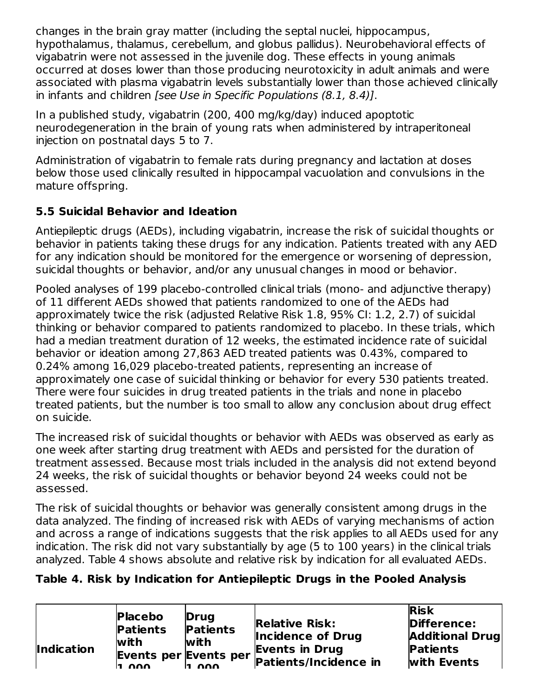changes in the brain gray matter (including the septal nuclei, hippocampus, hypothalamus, thalamus, cerebellum, and globus pallidus). Neurobehavioral effects of vigabatrin were not assessed in the juvenile dog. These effects in young animals occurred at doses lower than those producing neurotoxicity in adult animals and were associated with plasma vigabatrin levels substantially lower than those achieved clinically in infants and children [see Use in Specific Populations (8.1, 8.4)].

In a published study, vigabatrin (200, 400 mg/kg/day) induced apoptotic neurodegeneration in the brain of young rats when administered by intraperitoneal injection on postnatal days 5 to 7.

Administration of vigabatrin to female rats during pregnancy and lactation at doses below those used clinically resulted in hippocampal vacuolation and convulsions in the mature offspring.

# **5.5 Suicidal Behavior and Ideation**

Antiepileptic drugs (AEDs), including vigabatrin, increase the risk of suicidal thoughts or behavior in patients taking these drugs for any indication. Patients treated with any AED for any indication should be monitored for the emergence or worsening of depression, suicidal thoughts or behavior, and/or any unusual changes in mood or behavior.

Pooled analyses of 199 placebo-controlled clinical trials (mono- and adjunctive therapy) of 11 different AEDs showed that patients randomized to one of the AEDs had approximately twice the risk (adjusted Relative Risk 1.8, 95% CI: 1.2, 2.7) of suicidal thinking or behavior compared to patients randomized to placebo. In these trials, which had a median treatment duration of 12 weeks, the estimated incidence rate of suicidal behavior or ideation among 27,863 AED treated patients was 0.43%, compared to 0.24% among 16,029 placebo-treated patients, representing an increase of approximately one case of suicidal thinking or behavior for every 530 patients treated. There were four suicides in drug treated patients in the trials and none in placebo treated patients, but the number is too small to allow any conclusion about drug effect on suicide.

The increased risk of suicidal thoughts or behavior with AEDs was observed as early as one week after starting drug treatment with AEDs and persisted for the duration of treatment assessed. Because most trials included in the analysis did not extend beyond 24 weeks, the risk of suicidal thoughts or behavior beyond 24 weeks could not be assessed.

The risk of suicidal thoughts or behavior was generally consistent among drugs in the data analyzed. The finding of increased risk with AEDs of varying mechanisms of action and across a range of indications suggests that the risk applies to all AEDs used for any indication. The risk did not vary substantially by age (5 to 100 years) in the clinical trials analyzed. Table 4 shows absolute and relative risk by indication for all evaluated AEDs.

# **Table 4. Risk by Indication for Antiepileptic Drugs in the Pooled Analysis**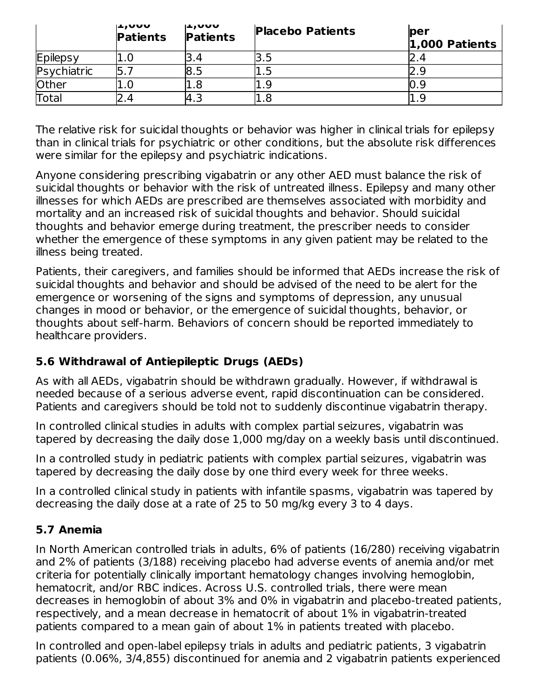|             | ルルソリレ<br><b>Patients</b> | ∪טען⊾ן<br><b>Patients</b> | <b>Placebo Patients</b> | per<br>1,000 Patients |
|-------------|--------------------------|---------------------------|-------------------------|-----------------------|
| Epilepsy    | 1.0                      | 3.4                       |                         |                       |
| Psychiatric |                          | l8.5                      | L.J                     |                       |
| Other       | 1.0                      | 1.8                       |                         |                       |
| Total       | 2.4                      | 4.3                       | 1.8                     |                       |

The relative risk for suicidal thoughts or behavior was higher in clinical trials for epilepsy than in clinical trials for psychiatric or other conditions, but the absolute risk differences were similar for the epilepsy and psychiatric indications.

Anyone considering prescribing vigabatrin or any other AED must balance the risk of suicidal thoughts or behavior with the risk of untreated illness. Epilepsy and many other illnesses for which AEDs are prescribed are themselves associated with morbidity and mortality and an increased risk of suicidal thoughts and behavior. Should suicidal thoughts and behavior emerge during treatment, the prescriber needs to consider whether the emergence of these symptoms in any given patient may be related to the illness being treated.

Patients, their caregivers, and families should be informed that AEDs increase the risk of suicidal thoughts and behavior and should be advised of the need to be alert for the emergence or worsening of the signs and symptoms of depression, any unusual changes in mood or behavior, or the emergence of suicidal thoughts, behavior, or thoughts about self-harm. Behaviors of concern should be reported immediately to healthcare providers.

# **5.6 Withdrawal of Antiepileptic Drugs (AEDs)**

As with all AEDs, vigabatrin should be withdrawn gradually. However, if withdrawal is needed because of a serious adverse event, rapid discontinuation can be considered. Patients and caregivers should be told not to suddenly discontinue vigabatrin therapy.

In controlled clinical studies in adults with complex partial seizures, vigabatrin was tapered by decreasing the daily dose 1,000 mg/day on a weekly basis until discontinued.

In a controlled study in pediatric patients with complex partial seizures, vigabatrin was tapered by decreasing the daily dose by one third every week for three weeks.

In a controlled clinical study in patients with infantile spasms, vigabatrin was tapered by decreasing the daily dose at a rate of 25 to 50 mg/kg every 3 to 4 days.

# **5.7 Anemia**

In North American controlled trials in adults, 6% of patients (16/280) receiving vigabatrin and 2% of patients (3/188) receiving placebo had adverse events of anemia and/or met criteria for potentially clinically important hematology changes involving hemoglobin, hematocrit, and/or RBC indices. Across U.S. controlled trials, there were mean decreases in hemoglobin of about 3% and 0% in vigabatrin and placebo-treated patients, respectively, and a mean decrease in hematocrit of about 1% in vigabatrin-treated patients compared to a mean gain of about 1% in patients treated with placebo.

In controlled and open-label epilepsy trials in adults and pediatric patients, 3 vigabatrin patients (0.06%, 3/4,855) discontinued for anemia and 2 vigabatrin patients experienced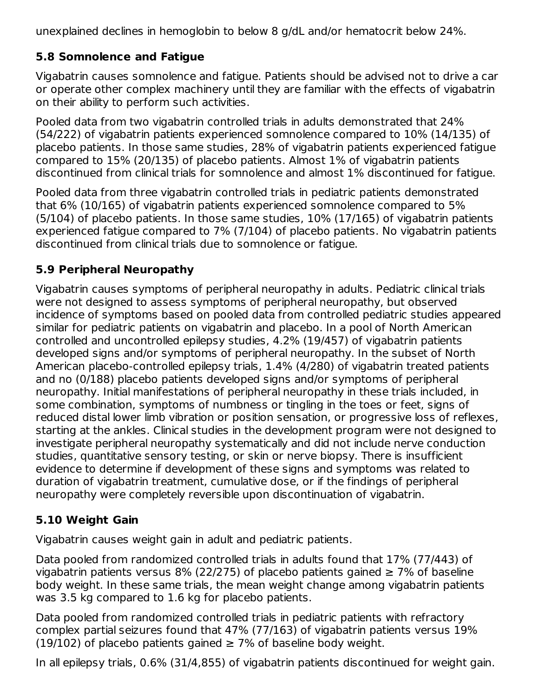unexplained declines in hemoglobin to below 8 g/dL and/or hematocrit below 24%.

# **5.8 Somnolence and Fatigue**

Vigabatrin causes somnolence and fatigue. Patients should be advised not to drive a car or operate other complex machinery until they are familiar with the effects of vigabatrin on their ability to perform such activities.

Pooled data from two vigabatrin controlled trials in adults demonstrated that 24% (54/222) of vigabatrin patients experienced somnolence compared to 10% (14/135) of placebo patients. In those same studies, 28% of vigabatrin patients experienced fatigue compared to 15% (20/135) of placebo patients. Almost 1% of vigabatrin patients discontinued from clinical trials for somnolence and almost 1% discontinued for fatigue.

Pooled data from three vigabatrin controlled trials in pediatric patients demonstrated that 6% (10/165) of vigabatrin patients experienced somnolence compared to 5% (5/104) of placebo patients. In those same studies, 10% (17/165) of vigabatrin patients experienced fatigue compared to 7% (7/104) of placebo patients. No vigabatrin patients discontinued from clinical trials due to somnolence or fatigue.

# **5.9 Peripheral Neuropathy**

Vigabatrin causes symptoms of peripheral neuropathy in adults. Pediatric clinical trials were not designed to assess symptoms of peripheral neuropathy, but observed incidence of symptoms based on pooled data from controlled pediatric studies appeared similar for pediatric patients on vigabatrin and placebo. In a pool of North American controlled and uncontrolled epilepsy studies, 4.2% (19/457) of vigabatrin patients developed signs and/or symptoms of peripheral neuropathy. In the subset of North American placebo-controlled epilepsy trials, 1.4% (4/280) of vigabatrin treated patients and no (0/188) placebo patients developed signs and/or symptoms of peripheral neuropathy. Initial manifestations of peripheral neuropathy in these trials included, in some combination, symptoms of numbness or tingling in the toes or feet, signs of reduced distal lower limb vibration or position sensation, or progressive loss of reflexes, starting at the ankles. Clinical studies in the development program were not designed to investigate peripheral neuropathy systematically and did not include nerve conduction studies, quantitative sensory testing, or skin or nerve biopsy. There is insufficient evidence to determine if development of these signs and symptoms was related to duration of vigabatrin treatment, cumulative dose, or if the findings of peripheral neuropathy were completely reversible upon discontinuation of vigabatrin.

# **5.10 Weight Gain**

Vigabatrin causes weight gain in adult and pediatric patients.

Data pooled from randomized controlled trials in adults found that 17% (77/443) of vigabatrin patients versus 8% (22/275) of placebo patients gained  $\geq$  7% of baseline body weight. In these same trials, the mean weight change among vigabatrin patients was 3.5 kg compared to 1.6 kg for placebo patients.

Data pooled from randomized controlled trials in pediatric patients with refractory complex partial seizures found that 47% (77/163) of vigabatrin patients versus 19% (19/102) of placebo patients gained  $\geq$  7% of baseline body weight.

In all epilepsy trials, 0.6% (31/4,855) of vigabatrin patients discontinued for weight gain.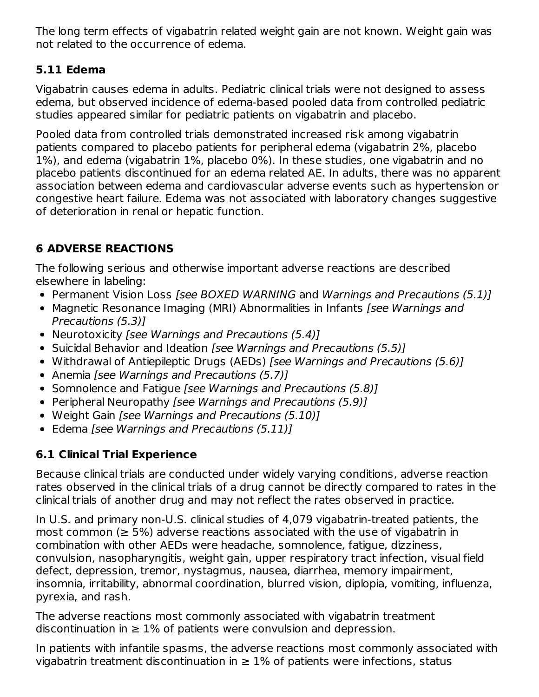The long term effects of vigabatrin related weight gain are not known. Weight gain was not related to the occurrence of edema.

# **5.11 Edema**

Vigabatrin causes edema in adults. Pediatric clinical trials were not designed to assess edema, but observed incidence of edema-based pooled data from controlled pediatric studies appeared similar for pediatric patients on vigabatrin and placebo.

Pooled data from controlled trials demonstrated increased risk among vigabatrin patients compared to placebo patients for peripheral edema (vigabatrin 2%, placebo 1%), and edema (vigabatrin 1%, placebo 0%). In these studies, one vigabatrin and no placebo patients discontinued for an edema related AE. In adults, there was no apparent association between edema and cardiovascular adverse events such as hypertension or congestive heart failure. Edema was not associated with laboratory changes suggestive of deterioration in renal or hepatic function.

# **6 ADVERSE REACTIONS**

The following serious and otherwise important adverse reactions are described elsewhere in labeling:

- Permanent Vision Loss [see BOXED WARNING and Warnings and Precautions (5.1)]
- Magnetic Resonance Imaging (MRI) Abnormalities in Infants [see Warnings and Precautions (5.3)]
- Neurotoxicity [see Warnings and Precautions (5.4)]
- Suicidal Behavior and Ideation [see Warnings and Precautions (5.5)]
- Withdrawal of Antiepileptic Drugs (AEDs) [see Warnings and Precautions (5.6)]
- Anemia *[see Warnings and Precautions (5.7)]*
- Somnolence and Fatigue [see Warnings and Precautions (5.8)]
- Peripheral Neuropathy [see Warnings and Precautions (5.9)]
- Weight Gain [see Warnings and Precautions (5.10)]
- Edema [see Warnings and Precautions (5.11)]

# **6.1 Clinical Trial Experience**

Because clinical trials are conducted under widely varying conditions, adverse reaction rates observed in the clinical trials of a drug cannot be directly compared to rates in the clinical trials of another drug and may not reflect the rates observed in practice.

In U.S. and primary non-U.S. clinical studies of 4,079 vigabatrin-treated patients, the most common ( $\geq$  5%) adverse reactions associated with the use of vigabatrin in combination with other AEDs were headache, somnolence, fatigue, dizziness, convulsion, nasopharyngitis, weight gain, upper respiratory tract infection, visual field defect, depression, tremor, nystagmus, nausea, diarrhea, memory impairment, insomnia, irritability, abnormal coordination, blurred vision, diplopia, vomiting, influenza, pyrexia, and rash.

The adverse reactions most commonly associated with vigabatrin treatment discontinuation in  $\geq 1\%$  of patients were convulsion and depression.

In patients with infantile spasms, the adverse reactions most commonly associated with vigabatrin treatment discontinuation in  $\geq 1\%$  of patients were infections, status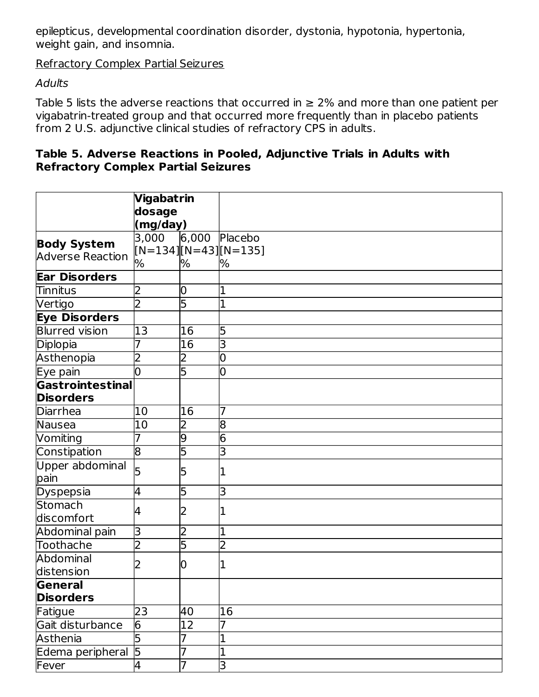epilepticus, developmental coordination disorder, dystonia, hypotonia, hypertonia, weight gain, and insomnia.

Refractory Complex Partial Seizures

### **Adults**

Table 5 lists the adverse reactions that occurred in  $\geq 2\%$  and more than one patient per vigabatrin-treated group and that occurred more frequently than in placebo patients from 2 U.S. adjunctive clinical studies of refractory CPS in adults.

### **Table 5. Adverse Reactions in Pooled, Adjunctive Trials in Adults with Refractory Complex Partial Seizures**

|                         | Vigabatrin     |                |                        |
|-------------------------|----------------|----------------|------------------------|
|                         | dosage         |                |                        |
|                         | (mg/day)       |                |                        |
| <b>Body System</b>      | 3,000          | 6,000          | Placebo                |
| <b>Adverse Reaction</b> |                |                | $[N=134][N=43][N=135]$ |
|                         | %              | %              | %                      |
| <b>Ear Disorders</b>    |                |                |                        |
| Tinnitus                | 2              | 0              |                        |
| Vertigo                 | $\overline{2}$ | 5              |                        |
| <b>Eye Disorders</b>    |                |                |                        |
| <b>Blurred vision</b>   | 13             | 16             | 5                      |
| Diplopia                | 7              | 16             | 3                      |
| Asthenopia              | 2              | 2              | 0                      |
| Eye pain                | l0             | 5              | 0                      |
| Gastrointestinal        |                |                |                        |
| <b>Disorders</b>        |                |                |                        |
| Diarrhea                | 10             | 16             |                        |
| Nausea                  | 10             | $\overline{2}$ | 8                      |
| Vomiting                | 7              | 9              | $\overline{6}$         |
| Constipation            | 8              | 5              | 3                      |
| Upper abdominal         | 5              | 5              |                        |
| pain                    |                |                |                        |
| Dyspepsia               | 4              | 5              | 3                      |
| Stomach                 | 4              |                |                        |
| discomfort              |                |                |                        |
| Abdominal pain          | Β              | 2              |                        |
| Toothache               | $\overline{2}$ | 5              | 2                      |
| Abdominal               | 2              | 10             |                        |
| distension              |                |                |                        |
| General                 |                |                |                        |
| <b>Disorders</b>        |                |                |                        |
| Fatigue                 | 23             | 40             | 16                     |
| Gait disturbance        | 6              | 12             |                        |
| Asthenia                | 5              |                |                        |
| Edema peripheral        | $\overline{5}$ |                |                        |
| Fever                   | 4              | 7              | 3                      |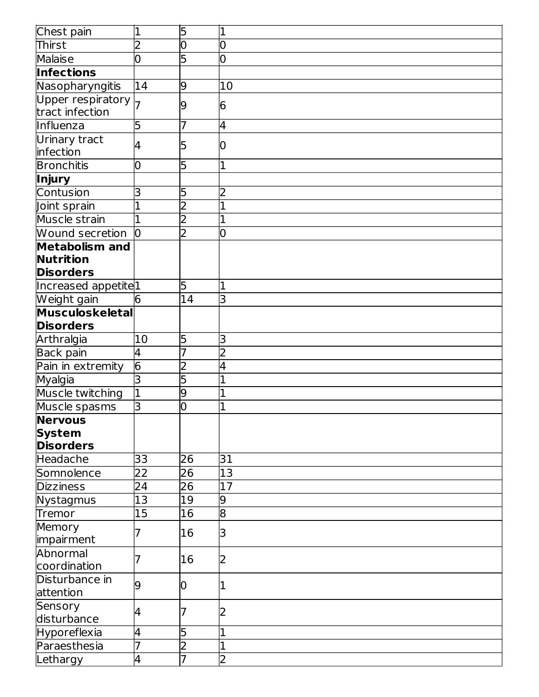| Chest pain                                                    | 1               | 5               | 11             |
|---------------------------------------------------------------|-----------------|-----------------|----------------|
| Thirst                                                        | $\overline{2}$  | 0               | 0              |
| <b>Malaise</b>                                                | 0               | 5               | O              |
| <b>Infections</b>                                             |                 |                 |                |
| Nasopharyngitis                                               | 14              | 9               | 10             |
| Upper respiratory<br>tract infection                          |                 | 9               | 6              |
| Influenza                                                     | 5               | 7               | 4              |
| Urinary tract<br>infection                                    | 4               | 5               | Ю              |
| <b>Bronchitis</b>                                             | 0               | 5               | 1              |
| Injury                                                        |                 |                 |                |
| Contusion                                                     | 3               | 5               | 2              |
| Joint sprain                                                  |                 | 2               |                |
| Muscle strain                                                 |                 | $\overline{2}$  |                |
| <b>Wound secretion</b>                                        | l0              | 2               | 0              |
| <b>Metabolism and</b><br><b>Nutrition</b><br><b>Disorders</b> |                 |                 |                |
| Increased appetite <sup>1</sup>                               |                 | 5               | 1              |
| Weight gain                                                   | 6               | $\overline{14}$ | lЗ             |
| Musculoskeletal                                               |                 |                 |                |
| <b>Disorders</b>                                              |                 |                 |                |
| Arthralgia                                                    | 10              | 5               | 3              |
| Back pain                                                     | 4               | 7               | $\overline{2}$ |
| Pain in extremity                                             | $\overline{6}$  | $\overline{2}$  | 4              |
| Myalgia                                                       | 3               | 5               |                |
| Muscle twitching                                              | $\overline{1}$  | 9               |                |
| Muscle spasms                                                 | З               | 0               |                |
| <b>Nervous</b><br><b>System</b><br><b>Disorders</b>           |                 |                 |                |
| Headache                                                      | 33              | 26              | 31             |
| Somnolence                                                    | 22              | 26              | 13             |
| <b>Dizziness</b>                                              | 24              | 26              | 17             |
| Nystagmus                                                     | 13              | 19              | 9              |
| Tremor                                                        | $\overline{15}$ | 16              | $\overline{8}$ |
| Memory<br>impairment                                          |                 | 16              | 3              |
| Abnormal<br>coordination                                      |                 | 16              | 2              |
| Disturbance in<br>attention                                   | 9               | 10              |                |
| Sensory<br>disturbance                                        | 4               |                 | 2              |
| Hyporeflexia                                                  | 4               | 5               |                |
| Paraesthesia                                                  | 7               | $\overline{2}$  | $\mathbf 1$    |
| Lethargy                                                      | 4               | $\overline{7}$  | $\overline{2}$ |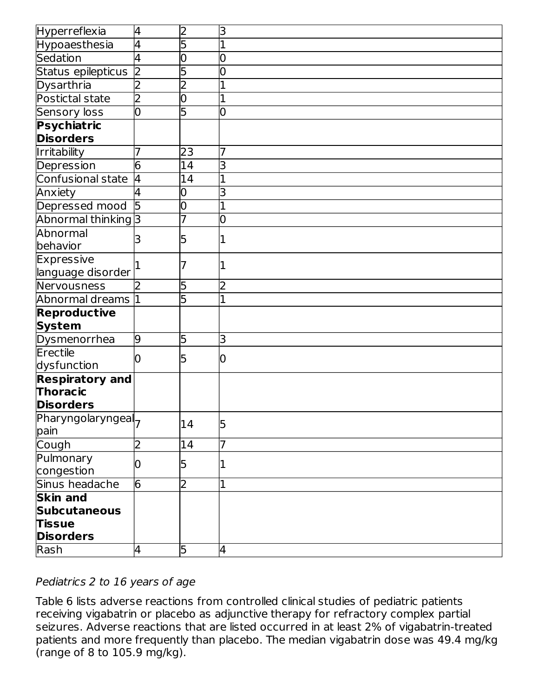| Hyperreflexia                        | 4                       | $\overline{2}$ | lЗ             |
|--------------------------------------|-------------------------|----------------|----------------|
| Hypoaesthesia                        | 4                       | 5              |                |
| Sedation                             | <sup>4</sup>            | $\overline{0}$ | 0              |
| Status epilepticus                   | $\overline{\mathsf{D}}$ | 5              | 0              |
| Dysarthria                           | 2                       | $\overline{2}$ |                |
| Postictal state                      | 2                       | 0              |                |
| <b>Sensory loss</b>                  | 0                       | 5              | 10             |
| Psychiatric                          |                         |                |                |
| <b>Disorders</b>                     |                         |                |                |
| Irritability                         |                         | 23             | 7              |
| Depression                           | 6                       | 14             | 3              |
| Confusional state                    | l4                      | 14             |                |
| Anxiety                              | 4                       | 0              | 3              |
| Depressed mood                       | $\overline{5}$          | 0              |                |
| Abnormal thinking 3                  |                         |                | 0              |
| Abnormal                             | 3                       | 5              |                |
| behavior                             |                         |                |                |
| Expressive                           |                         |                |                |
| language disorder                    |                         |                |                |
| Nervousness                          | b.                      | 5              | 2              |
| Abnormal dreams 1                    |                         | 5              | $\overline{1}$ |
| <b>Reproductive</b>                  |                         |                |                |
| <b>System</b>                        |                         |                |                |
| Dysmenorrhea                         | 9                       | 5              | 3              |
| Erectile                             |                         | 5              | 10             |
| dysfunction                          |                         |                |                |
| <b>Respiratory and</b>               |                         |                |                |
| Thoracic                             |                         |                |                |
| <b>Disorders</b>                     |                         |                |                |
| Pharyngolaryngeal <sub>7</sub>       |                         | 14             | 5              |
| pain                                 |                         |                |                |
| Cough                                | 2                       | 14             |                |
| Pulmonary                            | 0                       | 5              |                |
| congestion                           |                         |                |                |
| Sinus headache<br><b>Skin and</b>    | $\overline{6}$          | $\overline{2}$ | 1              |
|                                      |                         |                |                |
| <b>Subcutaneous</b><br><b>Tissue</b> |                         |                |                |
| <b>Disorders</b>                     |                         |                |                |
| Rash                                 | 4                       | 5              | 4              |
|                                      |                         |                |                |

### Pediatrics 2 to 16 years of age

Table 6 lists adverse reactions from controlled clinical studies of pediatric patients receiving vigabatrin or placebo as adjunctive therapy for refractory complex partial seizures. Adverse reactions that are listed occurred in at least 2% of vigabatrin-treated patients and more frequently than placebo. The median vigabatrin dose was 49.4 mg/kg (range of 8 to 105.9 mg/kg).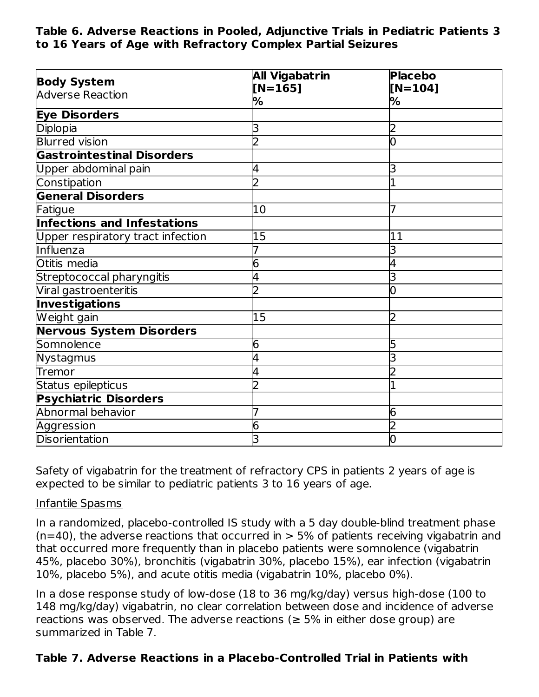**Table 6. Adverse Reactions in Pooled, Adjunctive Trials in Pediatric Patients 3 to 16 Years of Age with Refractory Complex Partial Seizures**

| <b>Body System</b>                 | <b>All Vigabatrin</b> | <b>Placebo</b> |
|------------------------------------|-----------------------|----------------|
| <b>Adverse Reaction</b>            | $[N=165]$             | $[N=104]$      |
|                                    | ℅                     | %              |
| <b>Eye Disorders</b>               |                       |                |
| Diplopia                           | 3                     | 2              |
| <b>Blurred vision</b>              | フ                     | 0              |
| <b>Gastrointestinal Disorders</b>  |                       |                |
| Upper abdominal pain               |                       | 3              |
| Constipation                       | フ                     |                |
| <b>General Disorders</b>           |                       |                |
| Fatigue                            | 10                    |                |
| <b>Infections and Infestations</b> |                       |                |
| Upper respiratory tract infection  | 15                    | 11             |
| Influenza                          |                       | 3              |
| Otitis media                       | 6                     |                |
| Streptococcal pharyngitis          |                       | 3              |
| Viral gastroenteritis              |                       | 0              |
| Investigations                     |                       |                |
| Weight gain                        | 15                    | 2              |
| <b>Nervous System Disorders</b>    |                       |                |
| Somnolence                         | 6                     | 5              |
| Nystagmus                          |                       |                |
| Tremor                             |                       |                |
| Status epilepticus                 |                       |                |
| <b>Psychiatric Disorders</b>       |                       |                |
| Abnormal behavior                  |                       | 6              |
| Aggression                         | 6                     |                |
| <b>Disorientation</b>              |                       | 0              |

Safety of vigabatrin for the treatment of refractory CPS in patients 2 years of age is expected to be similar to pediatric patients 3 to 16 years of age.

#### Infantile Spasms

In a randomized, placebo-controlled IS study with a 5 day double-blind treatment phase  $(n=40)$ , the adverse reactions that occurred in  $> 5\%$  of patients receiving vigabatrin and that occurred more frequently than in placebo patients were somnolence (vigabatrin 45%, placebo 30%), bronchitis (vigabatrin 30%, placebo 15%), ear infection (vigabatrin 10%, placebo 5%), and acute otitis media (vigabatrin 10%, placebo 0%).

In a dose response study of low-dose (18 to 36 mg/kg/day) versus high-dose (100 to 148 mg/kg/day) vigabatrin, no clear correlation between dose and incidence of adverse reactions was observed. The adverse reactions ( $\geq$  5% in either dose group) are summarized in Table 7.

### **Table 7. Adverse Reactions in a Placebo-Controlled Trial in Patients with**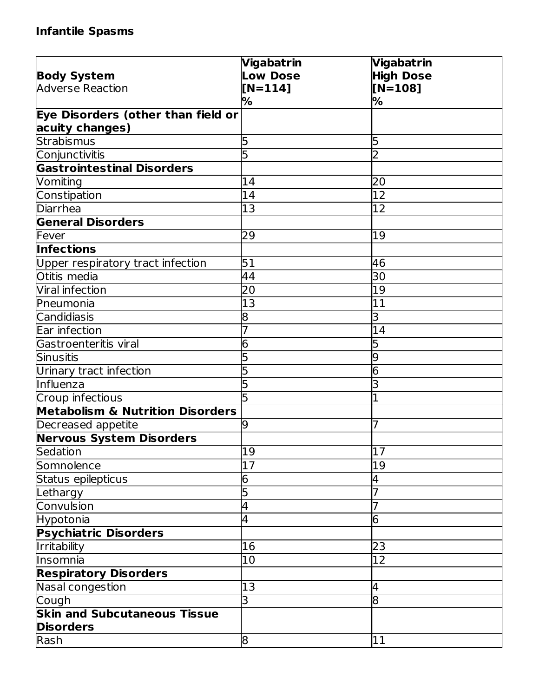# **Infantile Spasms**

|                                             | Vigabatrin      | Vigabatrin       |
|---------------------------------------------|-----------------|------------------|
| <b>Body System</b>                          | <b>Low Dose</b> | <b>High Dose</b> |
| Adverse Reaction                            | $[N=114]$       | $[N=108]$        |
|                                             | %               | %                |
| Eye Disorders (other than field or          |                 |                  |
| acuity changes)                             |                 |                  |
| Strabismus                                  | 5               | 5                |
| Conjunctivitis                              | 5               | $\overline{2}$   |
| <b>Gastrointestinal Disorders</b>           |                 |                  |
| Vomiting                                    | 14              | 20               |
| Constipation                                | 14              | 12               |
| Diarrhea                                    | 13              | 12               |
| <b>General Disorders</b>                    |                 |                  |
| Fever                                       | 29              | 19               |
| <b>Infections</b>                           |                 |                  |
| Upper respiratory tract infection           | 51              | 46               |
| Otitis media                                | 44              | 30               |
| Viral infection                             | 20              | 19               |
| Pneumonia                                   | 13              | $\overline{11}$  |
| Candidiasis                                 | 8               | 3                |
| Ear infection                               |                 | 14               |
| Gastroenteritis viral                       | 6               | 5                |
| Sinusitis                                   |                 | 9                |
| Urinary tract infection                     |                 | 6                |
| Influenza                                   | 5               | 3                |
| Croup infectious                            |                 | $\mathbf{1}$     |
| <b>Metabolism &amp; Nutrition Disorders</b> |                 |                  |
| Decreased appetite                          | 9               | 7                |
| Nervous System Disorders                    |                 |                  |
| Sedation                                    | $\overline{19}$ | $\overline{17}$  |
| Somnolence                                  | 17              | 19               |
| Status epilepticus                          | 6               | 4                |
| Lethargy                                    | 5               | 7                |
| Convulsion                                  | 4               | 7                |
| Hypotonia                                   | 4               | 6                |
| <b>Psychiatric Disorders</b>                |                 |                  |
| Irritability                                | 16              | 23               |
| Insomnia                                    | 10              | 12               |
| <b>Respiratory Disorders</b>                |                 |                  |
| Nasal congestion                            | 13              | 4                |
| Cough                                       | 3               | $\overline{8}$   |
| <b>Skin and Subcutaneous Tissue</b>         |                 |                  |
| <b>Disorders</b>                            |                 |                  |
| Rash                                        | 8               | 11               |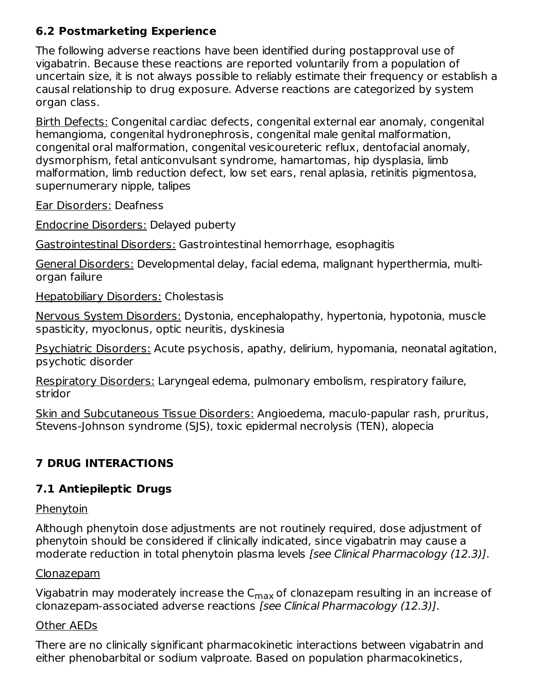# **6.2 Postmarketing Experience**

The following adverse reactions have been identified during postapproval use of vigabatrin. Because these reactions are reported voluntarily from a population of uncertain size, it is not always possible to reliably estimate their frequency or establish a causal relationship to drug exposure. Adverse reactions are categorized by system organ class.

Birth Defects: Congenital cardiac defects, congenital external ear anomaly, congenital hemangioma, congenital hydronephrosis, congenital male genital malformation, congenital oral malformation, congenital vesicoureteric reflux, dentofacial anomaly, dysmorphism, fetal anticonvulsant syndrome, hamartomas, hip dysplasia, limb malformation, limb reduction defect, low set ears, renal aplasia, retinitis pigmentosa, supernumerary nipple, talipes

Ear Disorders: Deafness

Endocrine Disorders: Delayed puberty

Gastrointestinal Disorders: Gastrointestinal hemorrhage, esophagitis

General Disorders: Developmental delay, facial edema, malignant hyperthermia, multiorgan failure

Hepatobiliary Disorders: Cholestasis

Nervous System Disorders: Dystonia, encephalopathy, hypertonia, hypotonia, muscle spasticity, myoclonus, optic neuritis, dyskinesia

Psychiatric Disorders: Acute psychosis, apathy, delirium, hypomania, neonatal agitation, psychotic disorder

Respiratory Disorders: Laryngeal edema, pulmonary embolism, respiratory failure, stridor

Skin and Subcutaneous Tissue Disorders: Angioedema, maculo-papular rash, pruritus, Stevens-Johnson syndrome (SJS), toxic epidermal necrolysis (TEN), alopecia

# **7 DRUG INTERACTIONS**

# **7.1 Antiepileptic Drugs**

### **Phenytoin**

Although phenytoin dose adjustments are not routinely required, dose adjustment of phenytoin should be considered if clinically indicated, since vigabatrin may cause a moderate reduction in total phenytoin plasma levels [see Clinical Pharmacology (12.3)].

### Clonazepam

Vigabatrin may moderately increase the C<sub>max</sub> of clonazepam resulting in an increase of clonazepam-associated adverse reactions [see Clinical Pharmacology (12.3)].

### Other AEDs

There are no clinically significant pharmacokinetic interactions between vigabatrin and either phenobarbital or sodium valproate. Based on population pharmacokinetics,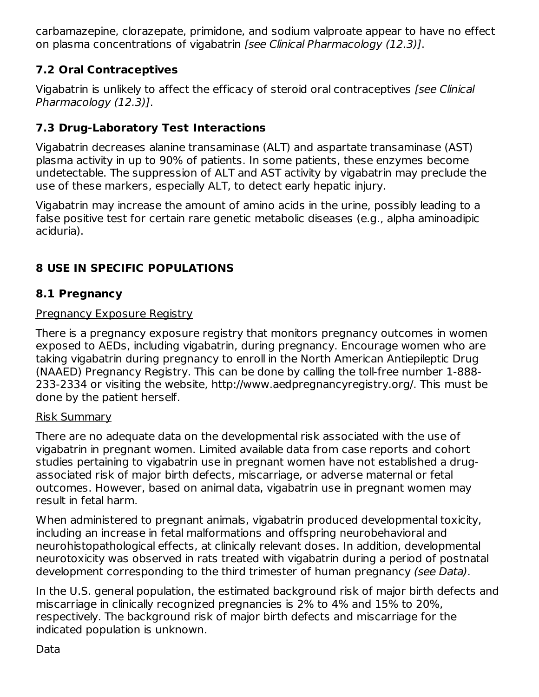carbamazepine, clorazepate, primidone, and sodium valproate appear to have no effect on plasma concentrations of vigabatrin [see Clinical Pharmacology (12.3)].

# **7.2 Oral Contraceptives**

Vigabatrin is unlikely to affect the efficacy of steroid oral contraceptives [see Clinical Pharmacology (12.3)].

# **7.3 Drug-Laboratory Test Interactions**

Vigabatrin decreases alanine transaminase (ALT) and aspartate transaminase (AST) plasma activity in up to 90% of patients. In some patients, these enzymes become undetectable. The suppression of ALT and AST activity by vigabatrin may preclude the use of these markers, especially ALT, to detect early hepatic injury.

Vigabatrin may increase the amount of amino acids in the urine, possibly leading to a false positive test for certain rare genetic metabolic diseases (e.g., alpha aminoadipic aciduria).

# **8 USE IN SPECIFIC POPULATIONS**

# **8.1 Pregnancy**

# Pregnancy Exposure Registry

There is a pregnancy exposure registry that monitors pregnancy outcomes in women exposed to AEDs, including vigabatrin, during pregnancy. Encourage women who are taking vigabatrin during pregnancy to enroll in the North American Antiepileptic Drug (NAAED) Pregnancy Registry. This can be done by calling the toll-free number 1-888- 233-2334 or visiting the website, http://www.aedpregnancyregistry.org/. This must be done by the patient herself.

# Risk Summary

There are no adequate data on the developmental risk associated with the use of vigabatrin in pregnant women. Limited available data from case reports and cohort studies pertaining to vigabatrin use in pregnant women have not established a drugassociated risk of major birth defects, miscarriage, or adverse maternal or fetal outcomes. However, based on animal data, vigabatrin use in pregnant women may result in fetal harm.

When administered to pregnant animals, vigabatrin produced developmental toxicity, including an increase in fetal malformations and offspring neurobehavioral and neurohistopathological effects, at clinically relevant doses. In addition, developmental neurotoxicity was observed in rats treated with vigabatrin during a period of postnatal development corresponding to the third trimester of human pregnancy (see Data).

In the U.S. general population, the estimated background risk of major birth defects and miscarriage in clinically recognized pregnancies is 2% to 4% and 15% to 20%, respectively. The background risk of major birth defects and miscarriage for the indicated population is unknown.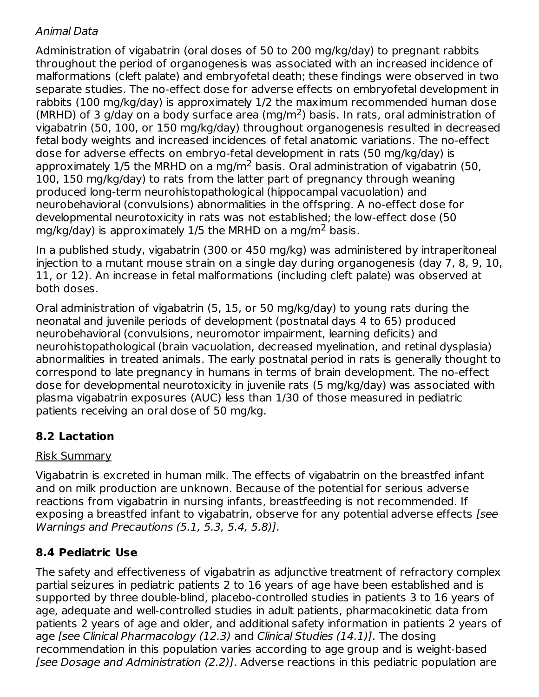# Animal Data

Administration of vigabatrin (oral doses of 50 to 200 mg/kg/day) to pregnant rabbits throughout the period of organogenesis was associated with an increased incidence of malformations (cleft palate) and embryofetal death; these findings were observed in two separate studies. The no-effect dose for adverse effects on embryofetal development in rabbits (100 mg/kg/day) is approximately 1/2 the maximum recommended human dose (MRHD) of 3 g/day on a body surface area (mg/m<sup>2</sup>) basis. In rats, oral administration of vigabatrin (50, 100, or 150 mg/kg/day) throughout organogenesis resulted in decreased fetal body weights and increased incidences of fetal anatomic variations. The no-effect dose for adverse effects on embryo-fetal development in rats (50 mg/kg/day) is approximately  $1/5$  the MRHD on a mg/m<sup>2</sup> basis. Oral administration of vigabatrin (50, 100, 150 mg/kg/day) to rats from the latter part of pregnancy through weaning produced long-term neurohistopathological (hippocampal vacuolation) and neurobehavioral (convulsions) abnormalities in the offspring. A no-effect dose for developmental neurotoxicity in rats was not established; the low-effect dose (50 mg/kg/day) is approximately  $1/5$  the MRHD on a mg/m<sup>2</sup> basis.

In a published study, vigabatrin (300 or 450 mg/kg) was administered by intraperitoneal injection to a mutant mouse strain on a single day during organogenesis (day 7, 8, 9, 10, 11, or 12). An increase in fetal malformations (including cleft palate) was observed at both doses.

Oral administration of vigabatrin (5, 15, or 50 mg/kg/day) to young rats during the neonatal and juvenile periods of development (postnatal days 4 to 65) produced neurobehavioral (convulsions, neuromotor impairment, learning deficits) and neurohistopathological (brain vacuolation, decreased myelination, and retinal dysplasia) abnormalities in treated animals. The early postnatal period in rats is generally thought to correspond to late pregnancy in humans in terms of brain development. The no-effect dose for developmental neurotoxicity in juvenile rats (5 mg/kg/day) was associated with plasma vigabatrin exposures (AUC) less than 1/30 of those measured in pediatric patients receiving an oral dose of 50 mg/kg.

# **8.2 Lactation**

# Risk Summary

Vigabatrin is excreted in human milk. The effects of vigabatrin on the breastfed infant and on milk production are unknown. Because of the potential for serious adverse reactions from vigabatrin in nursing infants, breastfeeding is not recommended. If exposing a breastfed infant to vigabatrin, observe for any potential adverse effects [see Warnings and Precautions (5.1, 5.3, 5.4, 5.8)].

# **8.4 Pediatric Use**

The safety and effectiveness of vigabatrin as adjunctive treatment of refractory complex partial seizures in pediatric patients 2 to 16 years of age have been established and is supported by three double-blind, placebo-controlled studies in patients 3 to 16 years of age, adequate and well-controlled studies in adult patients, pharmacokinetic data from patients 2 years of age and older, and additional safety information in patients 2 years of age [see Clinical Pharmacology (12.3) and Clinical Studies (14.1)]. The dosing recommendation in this population varies according to age group and is weight-based [see Dosage and Administration (2.2)]. Adverse reactions in this pediatric population are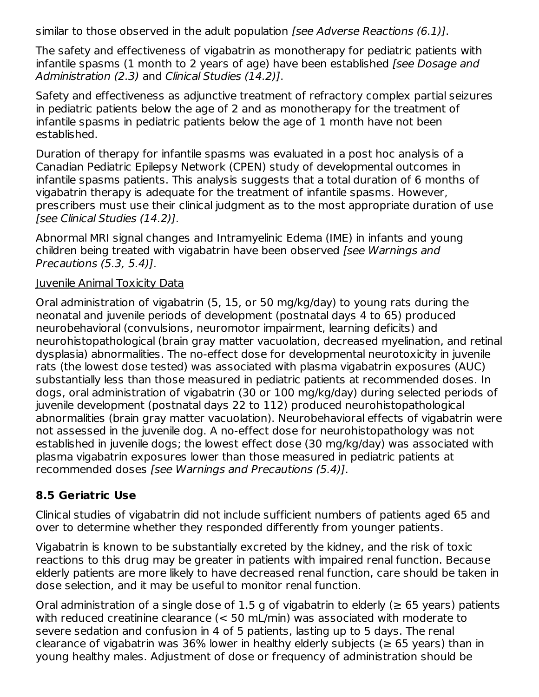similar to those observed in the adult population *[see Adverse Reactions (6.1)]*.

The safety and effectiveness of vigabatrin as monotherapy for pediatric patients with infantile spasms (1 month to 2 years of age) have been established (see Dosage and Administration (2.3) and Clinical Studies (14.2)].

Safety and effectiveness as adjunctive treatment of refractory complex partial seizures in pediatric patients below the age of 2 and as monotherapy for the treatment of infantile spasms in pediatric patients below the age of 1 month have not been established.

Duration of therapy for infantile spasms was evaluated in a post hoc analysis of a Canadian Pediatric Epilepsy Network (CPEN) study of developmental outcomes in infantile spasms patients. This analysis suggests that a total duration of 6 months of vigabatrin therapy is adequate for the treatment of infantile spasms. However, prescribers must use their clinical judgment as to the most appropriate duration of use [see Clinical Studies (14.2)].

Abnormal MRI signal changes and Intramyelinic Edema (IME) in infants and young children being treated with vigabatrin have been observed [see Warnings and Precautions (5.3, 5.4)].

### Juvenile Animal Toxicity Data

Oral administration of vigabatrin (5, 15, or 50 mg/kg/day) to young rats during the neonatal and juvenile periods of development (postnatal days 4 to 65) produced neurobehavioral (convulsions, neuromotor impairment, learning deficits) and neurohistopathological (brain gray matter vacuolation, decreased myelination, and retinal dysplasia) abnormalities. The no-effect dose for developmental neurotoxicity in juvenile rats (the lowest dose tested) was associated with plasma vigabatrin exposures (AUC) substantially less than those measured in pediatric patients at recommended doses. In dogs, oral administration of vigabatrin (30 or 100 mg/kg/day) during selected periods of juvenile development (postnatal days 22 to 112) produced neurohistopathological abnormalities (brain gray matter vacuolation). Neurobehavioral effects of vigabatrin were not assessed in the juvenile dog. A no-effect dose for neurohistopathology was not established in juvenile dogs; the lowest effect dose (30 mg/kg/day) was associated with plasma vigabatrin exposures lower than those measured in pediatric patients at recommended doses [see Warnings and Precautions (5.4)].

# **8.5 Geriatric Use**

Clinical studies of vigabatrin did not include sufficient numbers of patients aged 65 and over to determine whether they responded differently from younger patients.

Vigabatrin is known to be substantially excreted by the kidney, and the risk of toxic reactions to this drug may be greater in patients with impaired renal function. Because elderly patients are more likely to have decreased renal function, care should be taken in dose selection, and it may be useful to monitor renal function.

Oral administration of a single dose of 1.5 g of vigabatrin to elderly ( $\geq$  65 years) patients with reduced creatinine clearance (< 50 mL/min) was associated with moderate to severe sedation and confusion in 4 of 5 patients, lasting up to 5 days. The renal clearance of vigabatrin was 36% lower in healthy elderly subjects ( $\geq$  65 years) than in young healthy males. Adjustment of dose or frequency of administration should be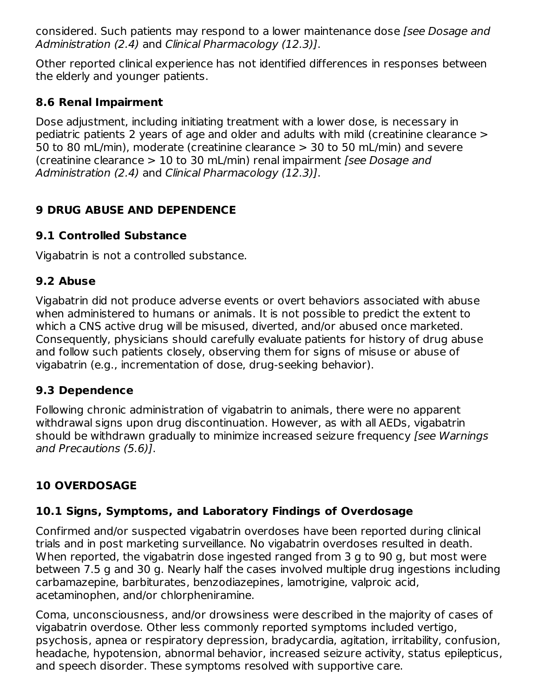considered. Such patients may respond to a lower maintenance dose [see Dosage and Administration (2.4) and Clinical Pharmacology (12.3)].

Other reported clinical experience has not identified differences in responses between the elderly and younger patients.

# **8.6 Renal Impairment**

Dose adjustment, including initiating treatment with a lower dose, is necessary in pediatric patients 2 years of age and older and adults with mild (creatinine clearance > 50 to 80 mL/min), moderate (creatinine clearance > 30 to 50 mL/min) and severe (creatinine clearance  $> 10$  to 30 mL/min) renal impairment *[see Dosage and* Administration (2.4) and Clinical Pharmacology (12.3)].

# **9 DRUG ABUSE AND DEPENDENCE**

# **9.1 Controlled Substance**

Vigabatrin is not a controlled substance.

# **9.2 Abuse**

Vigabatrin did not produce adverse events or overt behaviors associated with abuse when administered to humans or animals. It is not possible to predict the extent to which a CNS active drug will be misused, diverted, and/or abused once marketed. Consequently, physicians should carefully evaluate patients for history of drug abuse and follow such patients closely, observing them for signs of misuse or abuse of vigabatrin (e.g., incrementation of dose, drug-seeking behavior).

# **9.3 Dependence**

Following chronic administration of vigabatrin to animals, there were no apparent withdrawal signs upon drug discontinuation. However, as with all AEDs, vigabatrin should be withdrawn gradually to minimize increased seizure frequency [see Warnings] and Precautions (5.6)].

# **10 OVERDOSAGE**

# **10.1 Signs, Symptoms, and Laboratory Findings of Overdosage**

Confirmed and/or suspected vigabatrin overdoses have been reported during clinical trials and in post marketing surveillance. No vigabatrin overdoses resulted in death. When reported, the vigabatrin dose ingested ranged from 3 g to 90 g, but most were between 7.5 g and 30 g. Nearly half the cases involved multiple drug ingestions including carbamazepine, barbiturates, benzodiazepines, lamotrigine, valproic acid, acetaminophen, and/or chlorpheniramine.

Coma, unconsciousness, and/or drowsiness were described in the majority of cases of vigabatrin overdose. Other less commonly reported symptoms included vertigo, psychosis, apnea or respiratory depression, bradycardia, agitation, irritability, confusion, headache, hypotension, abnormal behavior, increased seizure activity, status epilepticus, and speech disorder. These symptoms resolved with supportive care.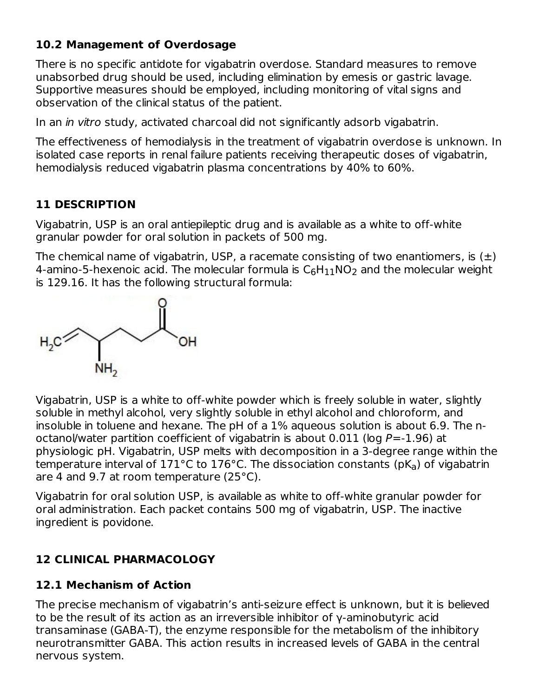# **10.2 Management of Overdosage**

There is no specific antidote for vigabatrin overdose. Standard measures to remove unabsorbed drug should be used, including elimination by emesis or gastric lavage. Supportive measures should be employed, including monitoring of vital signs and observation of the clinical status of the patient.

In an in vitro study, activated charcoal did not significantly adsorb vigabatrin.

The effectiveness of hemodialysis in the treatment of vigabatrin overdose is unknown. In isolated case reports in renal failure patients receiving therapeutic doses of vigabatrin, hemodialysis reduced vigabatrin plasma concentrations by 40% to 60%.

# **11 DESCRIPTION**

Vigabatrin, USP is an oral antiepileptic drug and is available as a white to off-white granular powder for oral solution in packets of 500 mg.

The chemical name of vigabatrin, USP, a racemate consisting of two enantiomers, is  $(\pm)$ 4-amino-5-hexenoic acid. The molecular formula is  $\mathsf{C}_6\mathsf{H}_{11}\mathsf{NO}_2$  and the molecular weight is 129.16. It has the following structural formula:



Vigabatrin, USP is a white to off-white powder which is freely soluble in water, slightly soluble in methyl alcohol, very slightly soluble in ethyl alcohol and chloroform, and insoluble in toluene and hexane. The pH of a 1% aqueous solution is about 6.9. The noctanol/water partition coefficient of vigabatrin is about  $0.011$  (log  $P = -1.96$ ) at physiologic pH. Vigabatrin, USP melts with decomposition in a 3-degree range within the temperature interval of 171°C to 176°C. The dissociation constants (pK<sub>a</sub>) of vigabatrin are 4 and 9.7 at room temperature (25°C).

Vigabatrin for oral solution USP, is available as white to off-white granular powder for oral administration. Each packet contains 500 mg of vigabatrin, USP. The inactive ingredient is povidone.

# **12 CLINICAL PHARMACOLOGY**

# **12.1 Mechanism of Action**

The precise mechanism of vigabatrin's anti-seizure effect is unknown, but it is believed to be the result of its action as an irreversible inhibitor of γ-aminobutyric acid transaminase (GABA-T), the enzyme responsible for the metabolism of the inhibitory neurotransmitter GABA. This action results in increased levels of GABA in the central nervous system.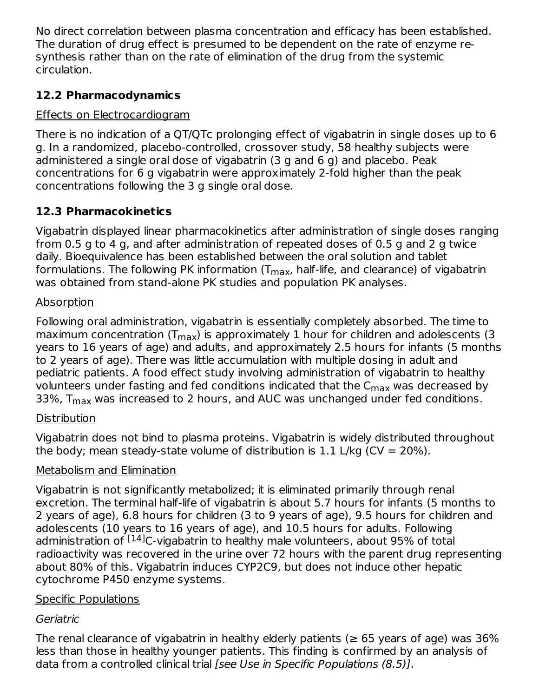No direct correlation between plasma concentration and efficacy has been established. The duration of drug effect is presumed to be dependent on the rate of enzyme resynthesis rather than on the rate of elimination of the drug from the systemic circulation.

# **12.2 Pharmacodynamics**

# Effects on Electrocardiogram

There is no indication of a QT/QTc prolonging effect of vigabatrin in single doses up to 6 g. In a randomized, placebo-controlled, crossover study, 58 healthy subjects were administered a single oral dose of vigabatrin (3 g and 6 g) and placebo. Peak concentrations for 6 g vigabatrin were approximately 2-fold higher than the peak concentrations following the 3 g single oral dose.

# **12.3 Pharmacokinetics**

Vigabatrin displayed linear pharmacokinetics after administration of single doses ranging from 0.5 g to 4 g, and after administration of repeated doses of 0.5 g and 2 g twice daily. Bioequivalence has been established between the oral solution and tablet formulations. The following PK information (T<sub>max</sub>, half-life, and clearance) of vigabatrin was obtained from stand-alone PK studies and population PK analyses.

# **Absorption**

Following oral administration, vigabatrin is essentially completely absorbed. The time to maximum concentration (T<sub>max</sub>) is approximately 1 hour for children and adolescents (3 years to 16 years of age) and adults, and approximately 2.5 hours for infants (5 months to 2 years of age). There was little accumulation with multiple dosing in adult and pediatric patients. A food effect study involving administration of vigabatrin to healthy volunteers under fasting and fed conditions indicated that the  $\mathsf{C}_{\mathsf{max}}$  was decreased by 33%,  $T_{\sf max}$  was increased to 2 hours, and AUC was unchanged under fed conditions.

# Distribution

Vigabatrin does not bind to plasma proteins. Vigabatrin is widely distributed throughout the body; mean steady-state volume of distribution is 1.1 L/kg (CV = 20%).

# Metabolism and Elimination

Vigabatrin is not significantly metabolized; it is eliminated primarily through renal excretion. The terminal half-life of vigabatrin is about 5.7 hours for infants (5 months to 2 years of age), 6.8 hours for children (3 to 9 years of age), 9.5 hours for children and adolescents (10 years to 16 years of age), and 10.5 hours for adults. Following administration of <sup>[14]</sup>C-vigabatrin to healthy male volunteers, about 95% of total radioactivity was recovered in the urine over 72 hours with the parent drug representing about 80% of this. Vigabatrin induces CYP2C9, but does not induce other hepatic cytochrome P450 enzyme systems.

# Specific Populations

# Geriatric

The renal clearance of vigabatrin in healthy elderly patients ( $\geq$  65 years of age) was 36% less than those in healthy younger patients. This finding is confirmed by an analysis of data from a controlled clinical trial *[see Use in Specific Populations (8.5)]*.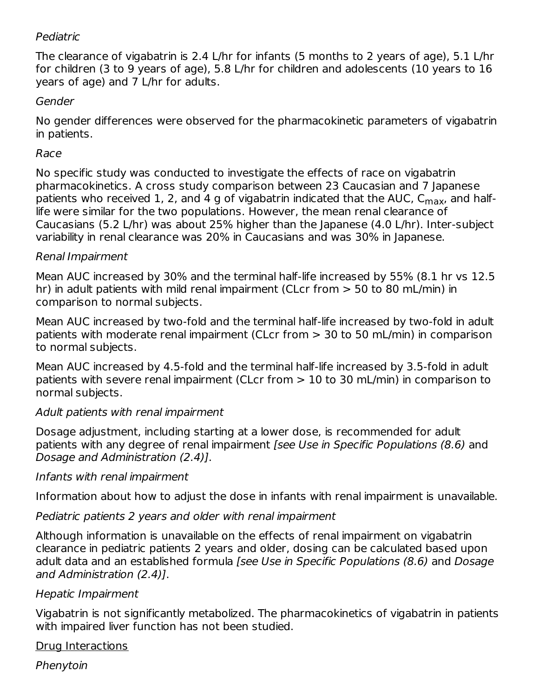### Pediatric

The clearance of vigabatrin is 2.4 L/hr for infants (5 months to 2 years of age), 5.1 L/hr for children (3 to 9 years of age), 5.8 L/hr for children and adolescents (10 years to 16 years of age) and 7 L/hr for adults.

### Gender

No gender differences were observed for the pharmacokinetic parameters of vigabatrin in patients.

### Race

No specific study was conducted to investigate the effects of race on vigabatrin pharmacokinetics. A cross study comparison between 23 Caucasian and 7 Japanese patients who received 1, 2, and 4 g of vigabatrin indicated that the AUC, C<sub>max</sub>, and halflife were similar for the two populations. However, the mean renal clearance of Caucasians (5.2 L/hr) was about 25% higher than the Japanese (4.0 L/hr). Inter-subject variability in renal clearance was 20% in Caucasians and was 30% in Japanese.

### Renal Impairment

Mean AUC increased by 30% and the terminal half-life increased by 55% (8.1 hr vs 12.5 hr) in adult patients with mild renal impairment (CLcr from > 50 to 80 mL/min) in comparison to normal subjects.

Mean AUC increased by two-fold and the terminal half-life increased by two-fold in adult patients with moderate renal impairment (CLcr from > 30 to 50 mL/min) in comparison to normal subjects.

Mean AUC increased by 4.5-fold and the terminal half-life increased by 3.5-fold in adult patients with severe renal impairment (CLcr from > 10 to 30 mL/min) in comparison to normal subjects.

### Adult patients with renal impairment

Dosage adjustment, including starting at a lower dose, is recommended for adult patients with any degree of renal impairment [see Use in Specific Populations (8.6) and Dosage and Administration (2.4)].

### Infants with renal impairment

Information about how to adjust the dose in infants with renal impairment is unavailable.

### Pediatric patients 2 years and older with renal impairment

Although information is unavailable on the effects of renal impairment on vigabatrin clearance in pediatric patients 2 years and older, dosing can be calculated based upon adult data and an established formula [see Use in Specific Populations (8.6) and Dosage and Administration (2.4)].

### Hepatic Impairment

Vigabatrin is not significantly metabolized. The pharmacokinetics of vigabatrin in patients with impaired liver function has not been studied.

### Drug Interactions

Phenytoin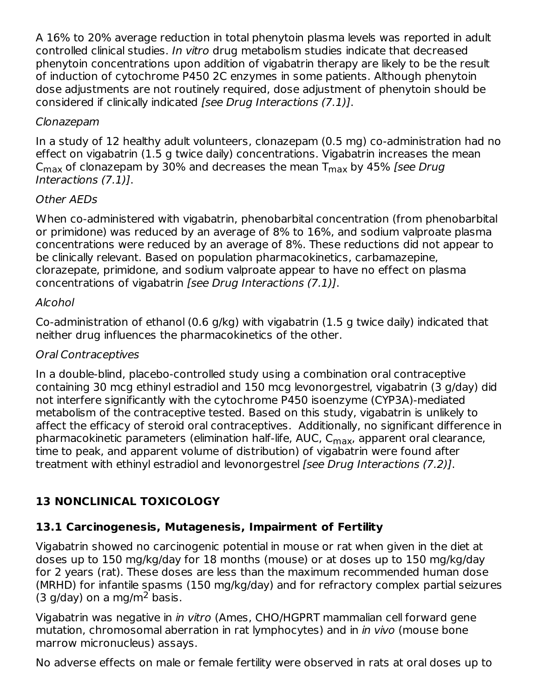A 16% to 20% average reduction in total phenytoin plasma levels was reported in adult controlled clinical studies. In vitro drug metabolism studies indicate that decreased phenytoin concentrations upon addition of vigabatrin therapy are likely to be the result of induction of cytochrome P450 2C enzymes in some patients. Although phenytoin dose adjustments are not routinely required, dose adjustment of phenytoin should be considered if clinically indicated [see Drug Interactions (7.1)].

# Clonazepam

In a study of 12 healthy adult volunteers, clonazepam (0.5 mg) co-administration had no effect on vigabatrin (1.5 g twice daily) concentrations. Vigabatrin increases the mean C<sub>max</sub> of clonazepam by 30% and decreases the mean T $_{\sf max}$  by 45% [*see Drug* Interactions (7.1)].

# Other AEDs

When co-administered with vigabatrin, phenobarbital concentration (from phenobarbital or primidone) was reduced by an average of 8% to 16%, and sodium valproate plasma concentrations were reduced by an average of 8%. These reductions did not appear to be clinically relevant. Based on population pharmacokinetics, carbamazepine, clorazepate, primidone, and sodium valproate appear to have no effect on plasma concentrations of vigabatrin [see Drug Interactions (7.1)].

# Alcohol

Co-administration of ethanol (0.6 g/kg) with vigabatrin (1.5 g twice daily) indicated that neither drug influences the pharmacokinetics of the other.

### Oral Contraceptives

In a double-blind, placebo-controlled study using a combination oral contraceptive containing 30 mcg ethinyl estradiol and 150 mcg levonorgestrel, vigabatrin (3 g/day) did not interfere significantly with the cytochrome P450 isoenzyme (CYP3A)-mediated metabolism of the contraceptive tested. Based on this study, vigabatrin is unlikely to affect the efficacy of steroid oral contraceptives. Additionally, no significant difference in pharmacokinetic parameters (elimination half-life, AUC, C<sub>max</sub>, apparent oral clearance, time to peak, and apparent volume of distribution) of vigabatrin were found after treatment with ethinyl estradiol and levonorgestrel [see Drug Interactions (7.2)].

# **13 NONCLINICAL TOXICOLOGY**

# **13.1 Carcinogenesis, Mutagenesis, Impairment of Fertility**

Vigabatrin showed no carcinogenic potential in mouse or rat when given in the diet at doses up to 150 mg/kg/day for 18 months (mouse) or at doses up to 150 mg/kg/day for 2 years (rat). These doses are less than the maximum recommended human dose (MRHD) for infantile spasms (150 mg/kg/day) and for refractory complex partial seizures  $(3$  g/day) on a mg/m<sup>2</sup> basis.

Vigabatrin was negative in *in vitro* (Ames, CHO/HGPRT mammalian cell forward gene mutation, chromosomal aberration in rat lymphocytes) and in *in vivo* (mouse bone marrow micronucleus) assays.

No adverse effects on male or female fertility were observed in rats at oral doses up to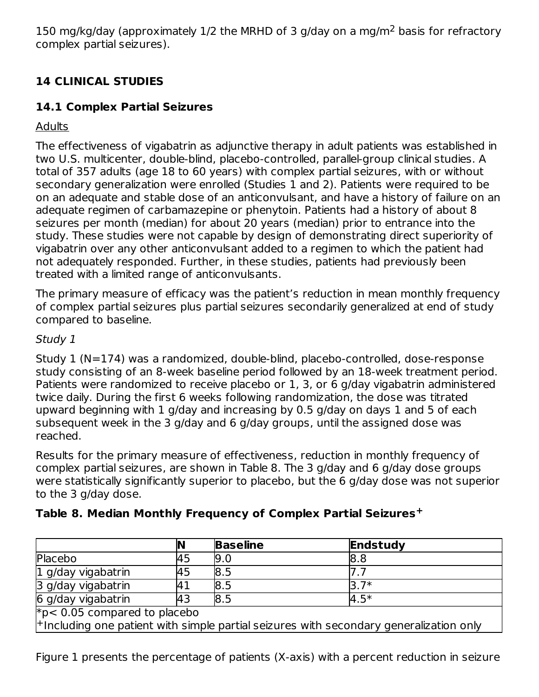150 mg/kg/day (approximately  $1/2$  the MRHD of 3 g/day on a mg/m<sup>2</sup> basis for refractory complex partial seizures).

# **14 CLINICAL STUDIES**

# **14.1 Complex Partial Seizures**

Adults

The effectiveness of vigabatrin as adjunctive therapy in adult patients was established in two U.S. multicenter, double-blind, placebo-controlled, parallel-group clinical studies. A total of 357 adults (age 18 to 60 years) with complex partial seizures, with or without secondary generalization were enrolled (Studies 1 and 2). Patients were required to be on an adequate and stable dose of an anticonvulsant, and have a history of failure on an adequate regimen of carbamazepine or phenytoin. Patients had a history of about 8 seizures per month (median) for about 20 years (median) prior to entrance into the study. These studies were not capable by design of demonstrating direct superiority of vigabatrin over any other anticonvulsant added to a regimen to which the patient had not adequately responded. Further, in these studies, patients had previously been treated with a limited range of anticonvulsants.

The primary measure of efficacy was the patient's reduction in mean monthly frequency of complex partial seizures plus partial seizures secondarily generalized at end of study compared to baseline.

# Study 1

Study 1 (N=174) was a randomized, double-blind, placebo-controlled, dose-response study consisting of an 8-week baseline period followed by an 18-week treatment period. Patients were randomized to receive placebo or 1, 3, or 6 g/day vigabatrin administered twice daily. During the first 6 weeks following randomization, the dose was titrated upward beginning with 1 g/day and increasing by 0.5 g/day on days 1 and 5 of each subsequent week in the 3 g/day and 6 g/day groups, until the assigned dose was reached.

Results for the primary measure of effectiveness, reduction in monthly frequency of complex partial seizures, are shown in Table 8. The 3 g/day and 6 g/day dose groups were statistically significantly superior to placebo, but the 6 g/day dose was not superior to the 3 g/day dose.

|                                                                                            | IN | <b>Baseline</b> | Endstudy |  |  |  |
|--------------------------------------------------------------------------------------------|----|-----------------|----------|--|--|--|
| Placebo                                                                                    | 45 | 9.0             | 8.8      |  |  |  |
| 1 g/day vigabatrin                                                                         | 45 | 8.5             |          |  |  |  |
| 3 g/day vigabatrin                                                                         |    | 8.5             | $3.7*$   |  |  |  |
| 6 g/day vigabatrin                                                                         | 43 | 8.5             | $4.5*$   |  |  |  |
| $*p$ < 0.05 compared to placebo                                                            |    |                 |          |  |  |  |
| $ +$ Including one patient with simple partial seizures with secondary generalization only |    |                 |          |  |  |  |

**Table 8. Median Monthly Frequency of Complex Partial Seizures +**

Figure 1 presents the percentage of patients (X-axis) with a percent reduction in seizure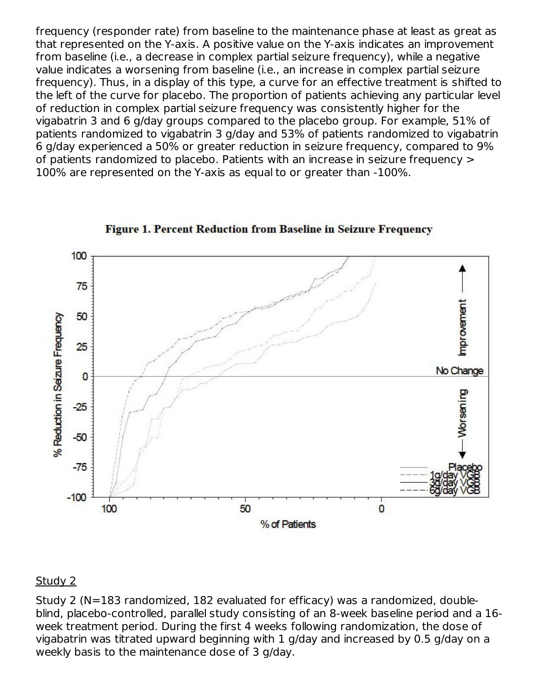frequency (responder rate) from baseline to the maintenance phase at least as great as that represented on the Y-axis. A positive value on the Y-axis indicates an improvement from baseline (i.e., a decrease in complex partial seizure frequency), while a negative value indicates a worsening from baseline (i.e., an increase in complex partial seizure frequency). Thus, in a display of this type, a curve for an effective treatment is shifted to the left of the curve for placebo. The proportion of patients achieving any particular level of reduction in complex partial seizure frequency was consistently higher for the vigabatrin 3 and 6 g/day groups compared to the placebo group. For example, 51% of patients randomized to vigabatrin 3 g/day and 53% of patients randomized to vigabatrin 6 g/day experienced a 50% or greater reduction in seizure frequency, compared to 9% of patients randomized to placebo. Patients with an increase in seizure frequency > 100% are represented on the Y-axis as equal to or greater than -100%.



**Figure 1. Percent Reduction from Baseline in Seizure Frequency** 

#### Study 2

Study 2 (N=183 randomized, 182 evaluated for efficacy) was a randomized, doubleblind, placebo-controlled, parallel study consisting of an 8-week baseline period and a 16 week treatment period. During the first 4 weeks following randomization, the dose of vigabatrin was titrated upward beginning with 1 g/day and increased by 0.5 g/day on a weekly basis to the maintenance dose of 3 g/day.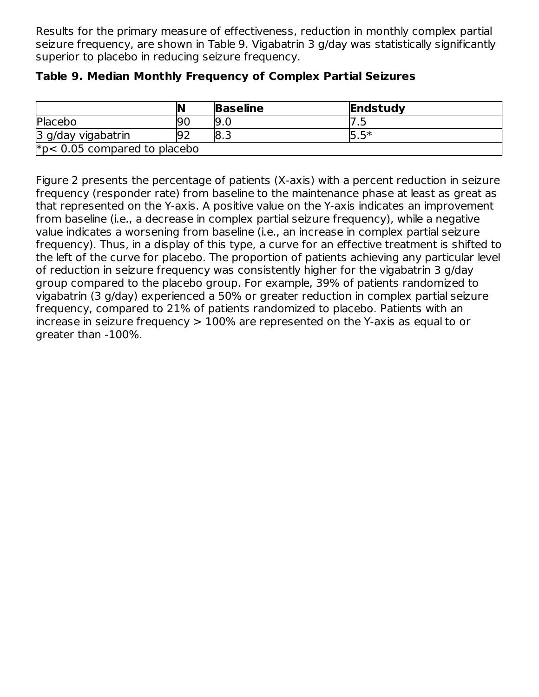Results for the primary measure of effectiveness, reduction in monthly complex partial seizure frequency, are shown in Table 9. Vigabatrin 3 g/day was statistically significantly superior to placebo in reducing seizure frequency.

|                                | IN  | <b>Baseline</b> | Endstudy |  |  |
|--------------------------------|-----|-----------------|----------|--|--|
| Placebo                        | 90  | <b>19.0</b>     | . .      |  |  |
| 3 g/day vigabatrin             | 192 | ت.8             | 15.5*    |  |  |
| $*p< 0.05$ compared to placebo |     |                 |          |  |  |

### **Table 9. Median Monthly Frequency of Complex Partial Seizures**

Figure 2 presents the percentage of patients (X-axis) with a percent reduction in seizure frequency (responder rate) from baseline to the maintenance phase at least as great as that represented on the Y-axis. A positive value on the Y-axis indicates an improvement from baseline (i.e., a decrease in complex partial seizure frequency), while a negative value indicates a worsening from baseline (i.e., an increase in complex partial seizure frequency). Thus, in a display of this type, a curve for an effective treatment is shifted to the left of the curve for placebo. The proportion of patients achieving any particular level of reduction in seizure frequency was consistently higher for the vigabatrin 3 g/day group compared to the placebo group. For example, 39% of patients randomized to vigabatrin (3 g/day) experienced a 50% or greater reduction in complex partial seizure frequency, compared to 21% of patients randomized to placebo. Patients with an increase in seizure frequency > 100% are represented on the Y-axis as equal to or greater than -100%.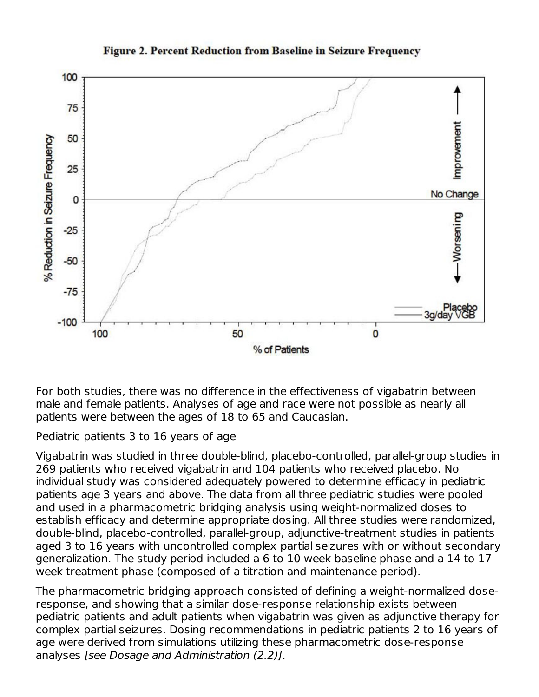

#### **Figure 2. Percent Reduction from Baseline in Seizure Frequency**

For both studies, there was no difference in the effectiveness of vigabatrin between male and female patients. Analyses of age and race were not possible as nearly all patients were between the ages of 18 to 65 and Caucasian.

#### Pediatric patients 3 to 16 years of age

Vigabatrin was studied in three double-blind, placebo-controlled, parallel-group studies in 269 patients who received vigabatrin and 104 patients who received placebo. No individual study was considered adequately powered to determine efficacy in pediatric patients age 3 years and above. The data from all three pediatric studies were pooled and used in a pharmacometric bridging analysis using weight-normalized doses to establish efficacy and determine appropriate dosing. All three studies were randomized, double-blind, placebo-controlled, parallel-group, adjunctive-treatment studies in patients aged 3 to 16 years with uncontrolled complex partial seizures with or without secondary generalization. The study period included a 6 to 10 week baseline phase and a 14 to 17 week treatment phase (composed of a titration and maintenance period).

The pharmacometric bridging approach consisted of defining a weight-normalized doseresponse, and showing that a similar dose-response relationship exists between pediatric patients and adult patients when vigabatrin was given as adjunctive therapy for complex partial seizures. Dosing recommendations in pediatric patients 2 to 16 years of age were derived from simulations utilizing these pharmacometric dose-response analyses [see Dosage and Administration (2.2)].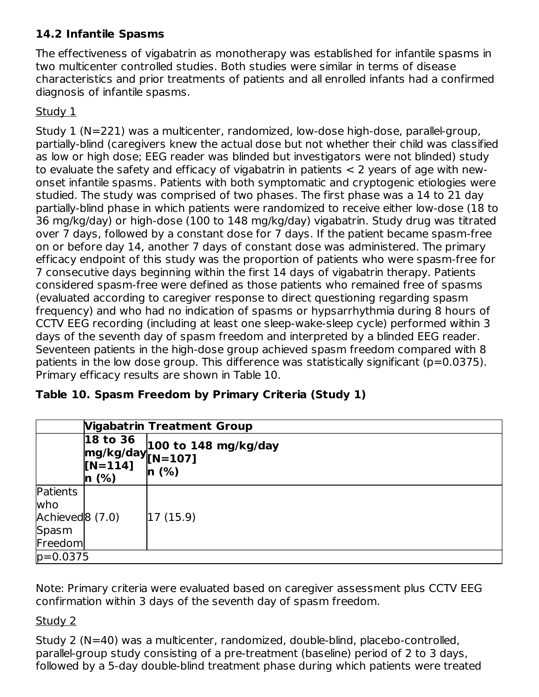# **14.2 Infantile Spasms**

The effectiveness of vigabatrin as monotherapy was established for infantile spasms in two multicenter controlled studies. Both studies were similar in terms of disease characteristics and prior treatments of patients and all enrolled infants had a confirmed diagnosis of infantile spasms.

### Study 1

Study 1 (N=221) was a multicenter, randomized, low-dose high-dose, parallel-group, partially-blind (caregivers knew the actual dose but not whether their child was classified as low or high dose; EEG reader was blinded but investigators were not blinded) study to evaluate the safety and efficacy of vigabatrin in patients < 2 years of age with newonset infantile spasms. Patients with both symptomatic and cryptogenic etiologies were studied. The study was comprised of two phases. The first phase was a 14 to 21 day partially-blind phase in which patients were randomized to receive either low-dose (18 to 36 mg/kg/day) or high-dose (100 to 148 mg/kg/day) vigabatrin. Study drug was titrated over 7 days, followed by a constant dose for 7 days. If the patient became spasm-free on or before day 14, another 7 days of constant dose was administered. The primary efficacy endpoint of this study was the proportion of patients who were spasm-free for 7 consecutive days beginning within the first 14 days of vigabatrin therapy. Patients considered spasm-free were defined as those patients who remained free of spasms (evaluated according to caregiver response to direct questioning regarding spasm frequency) and who had no indication of spasms or hypsarrhythmia during 8 hours of CCTV EEG recording (including at least one sleep-wake-sleep cycle) performed within 3 days of the seventh day of spasm freedom and interpreted by a blinded EEG reader. Seventeen patients in the high-dose group achieved spasm freedom compared with 8 patients in the low dose group. This difference was statistically significant (p=0.0375). Primary efficacy results are shown in Table 10.

| Table 10. Spasm Freedom by Primary Criteria (Study 1) |  |  |  |  |  |
|-------------------------------------------------------|--|--|--|--|--|
|-------------------------------------------------------|--|--|--|--|--|

|                                                                    | <b>Vigabatrin Treatment Group</b>                             |                                     |  |
|--------------------------------------------------------------------|---------------------------------------------------------------|-------------------------------------|--|
|                                                                    | 18 to 36<br>$mg/kg/day$ $[N=107]$<br>$[N=114]$<br>$ n \ (%)\$ | $100$ to 148 mg/kg/day<br>$\ln(96)$ |  |
| Patients<br>who<br>Achieved <sup>8</sup> (7.0)<br>Spasm<br>Freedom |                                                               | 17 (15.9)                           |  |
| $p=0.0375$                                                         |                                                               |                                     |  |

Note: Primary criteria were evaluated based on caregiver assessment plus CCTV EEG confirmation within 3 days of the seventh day of spasm freedom.

Study 2

Study 2 (N=40) was a multicenter, randomized, double-blind, placebo-controlled, parallel-group study consisting of a pre-treatment (baseline) period of 2 to 3 days, followed by a 5-day double-blind treatment phase during which patients were treated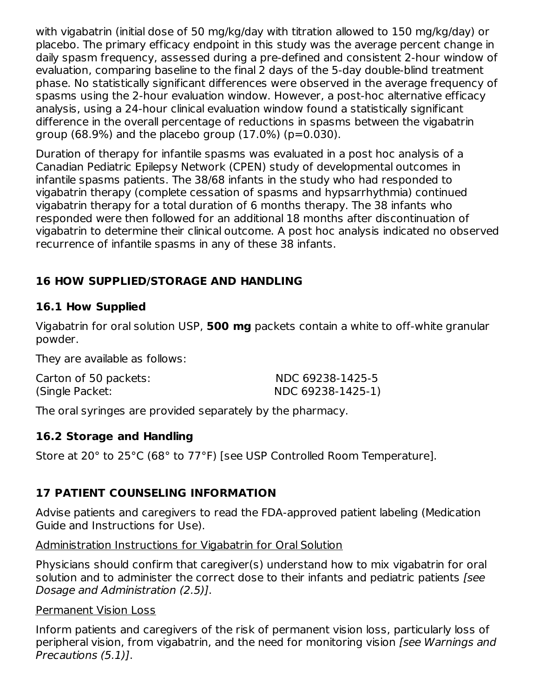with vigabatrin (initial dose of 50 mg/kg/day with titration allowed to 150 mg/kg/day) or placebo. The primary efficacy endpoint in this study was the average percent change in daily spasm frequency, assessed during a pre-defined and consistent 2-hour window of evaluation, comparing baseline to the final 2 days of the 5-day double-blind treatment phase. No statistically significant differences were observed in the average frequency of spasms using the 2-hour evaluation window. However, a post-hoc alternative efficacy analysis, using a 24-hour clinical evaluation window found a statistically significant difference in the overall percentage of reductions in spasms between the vigabatrin group  $(68.9\%)$  and the placebo group  $(17.0\%)$   $(p=0.030)$ .

Duration of therapy for infantile spasms was evaluated in a post hoc analysis of a Canadian Pediatric Epilepsy Network (CPEN) study of developmental outcomes in infantile spasms patients. The 38/68 infants in the study who had responded to vigabatrin therapy (complete cessation of spasms and hypsarrhythmia) continued vigabatrin therapy for a total duration of 6 months therapy. The 38 infants who responded were then followed for an additional 18 months after discontinuation of vigabatrin to determine their clinical outcome. A post hoc analysis indicated no observed recurrence of infantile spasms in any of these 38 infants.

# **16 HOW SUPPLIED/STORAGE AND HANDLING**

# **16.1 How Supplied**

Vigabatrin for oral solution USP, **500 mg** packets contain a white to off-white granular powder.

They are available as follows:

| Carton of 50 packets: | NDC 69238-1425-5  |
|-----------------------|-------------------|
| (Single Packet:       | NDC 69238-1425-1) |

The oral syringes are provided separately by the pharmacy.

# **16.2 Storage and Handling**

Store at 20° to 25°C (68° to 77°F) [see USP Controlled Room Temperature].

# **17 PATIENT COUNSELING INFORMATION**

Advise patients and caregivers to read the FDA-approved patient labeling (Medication Guide and Instructions for Use).

# Administration Instructions for Vigabatrin for Oral Solution

Physicians should confirm that caregiver(s) understand how to mix vigabatrin for oral solution and to administer the correct dose to their infants and pediatric patients [see Dosage and Administration (2.5)].

# Permanent Vision Loss

Inform patients and caregivers of the risk of permanent vision loss, particularly loss of peripheral vision, from vigabatrin, and the need for monitoring vision [see Warnings and Precautions (5.1)].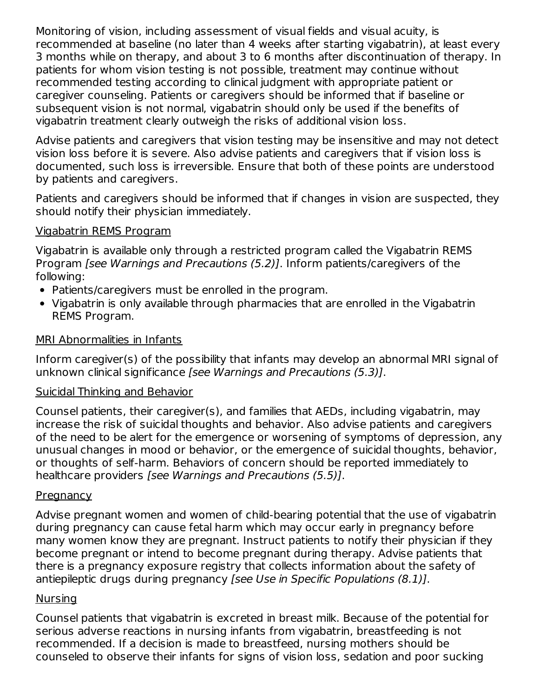Monitoring of vision, including assessment of visual fields and visual acuity, is recommended at baseline (no later than 4 weeks after starting vigabatrin), at least every 3 months while on therapy, and about 3 to 6 months after discontinuation of therapy. In patients for whom vision testing is not possible, treatment may continue without recommended testing according to clinical judgment with appropriate patient or caregiver counseling. Patients or caregivers should be informed that if baseline or subsequent vision is not normal, vigabatrin should only be used if the benefits of vigabatrin treatment clearly outweigh the risks of additional vision loss.

Advise patients and caregivers that vision testing may be insensitive and may not detect vision loss before it is severe. Also advise patients and caregivers that if vision loss is documented, such loss is irreversible. Ensure that both of these points are understood by patients and caregivers.

Patients and caregivers should be informed that if changes in vision are suspected, they should notify their physician immediately.

### Vigabatrin REMS Program

Vigabatrin is available only through a restricted program called the Vigabatrin REMS Program [see Warnings and Precautions (5.2)]. Inform patients/caregivers of the following:

- Patients/caregivers must be enrolled in the program.
- Vigabatrin is only available through pharmacies that are enrolled in the Vigabatrin REMS Program.

### MRI Abnormalities in Infants

Inform caregiver(s) of the possibility that infants may develop an abnormal MRI signal of unknown clinical significance [see Warnings and Precautions (5.3)].

### Suicidal Thinking and Behavior

Counsel patients, their caregiver(s), and families that AEDs, including vigabatrin, may increase the risk of suicidal thoughts and behavior. Also advise patients and caregivers of the need to be alert for the emergence or worsening of symptoms of depression, any unusual changes in mood or behavior, or the emergence of suicidal thoughts, behavior, or thoughts of self-harm. Behaviors of concern should be reported immediately to healthcare providers [see Warnings and Precautions (5.5)].

### **Pregnancy**

Advise pregnant women and women of child-bearing potential that the use of vigabatrin during pregnancy can cause fetal harm which may occur early in pregnancy before many women know they are pregnant. Instruct patients to notify their physician if they become pregnant or intend to become pregnant during therapy. Advise patients that there is a pregnancy exposure registry that collects information about the safety of antiepileptic drugs during pregnancy [see Use in Specific Populations (8.1)].

### Nursing

Counsel patients that vigabatrin is excreted in breast milk. Because of the potential for serious adverse reactions in nursing infants from vigabatrin, breastfeeding is not recommended. If a decision is made to breastfeed, nursing mothers should be counseled to observe their infants for signs of vision loss, sedation and poor sucking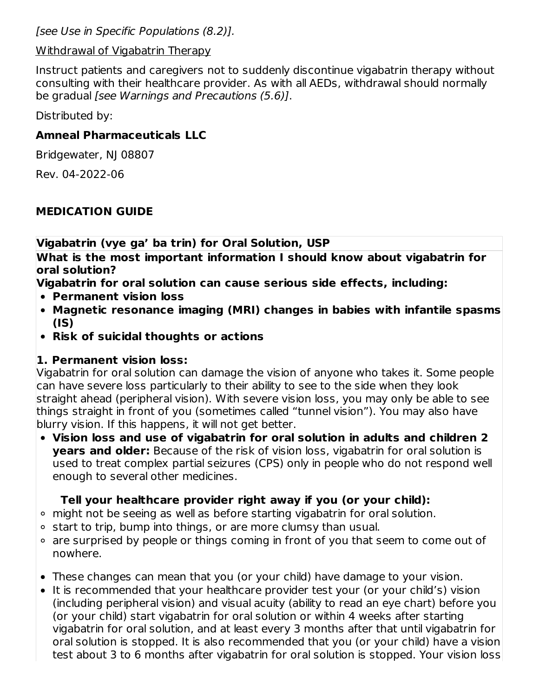[see Use in Specific Populations (8.2)].

### Withdrawal of Vigabatrin Therapy

Instruct patients and caregivers not to suddenly discontinue vigabatrin therapy without consulting with their healthcare provider. As with all AEDs, withdrawal should normally be gradual [see Warnings and Precautions (5.6)].

Distributed by:

# **Amneal Pharmaceuticals LLC**

Bridgewater, NJ 08807

Rev. 04-2022-06

# **MEDICATION GUIDE**

**Vigabatrin (vye ga' ba trin) for Oral Solution, USP**

**What is the most important information I should know about vigabatrin for oral solution?**

**Vigabatrin for oral solution can cause serious side effects, including:**

- **Permanent vision loss**
- **Magnetic resonance imaging (MRI) changes in babies with infantile spasms (IS)**
- **Risk of suicidal thoughts or actions**

# **1. Permanent vision loss:**

Vigabatrin for oral solution can damage the vision of anyone who takes it. Some people can have severe loss particularly to their ability to see to the side when they look straight ahead (peripheral vision). With severe vision loss, you may only be able to see things straight in front of you (sometimes called "tunnel vision"). You may also have blurry vision. If this happens, it will not get better.

**Vision loss and use of vigabatrin for oral solution in adults and children 2 years and older:** Because of the risk of vision loss, vigabatrin for oral solution is used to treat complex partial seizures (CPS) only in people who do not respond well enough to several other medicines.

# **Tell your healthcare provider right away if you (or your child):**

- might not be seeing as well as before starting vigabatrin for oral solution.
- ∘ start to trip, bump into things, or are more clumsy than usual.
- are surprised by people or things coming in front of you that seem to come out of nowhere.
- These changes can mean that you (or your child) have damage to your vision.
- It is recommended that your healthcare provider test your (or your child's) vision (including peripheral vision) and visual acuity (ability to read an eye chart) before you (or your child) start vigabatrin for oral solution or within 4 weeks after starting vigabatrin for oral solution, and at least every 3 months after that until vigabatrin for oral solution is stopped. It is also recommended that you (or your child) have a vision test about 3 to 6 months after vigabatrin for oral solution is stopped. Your vision loss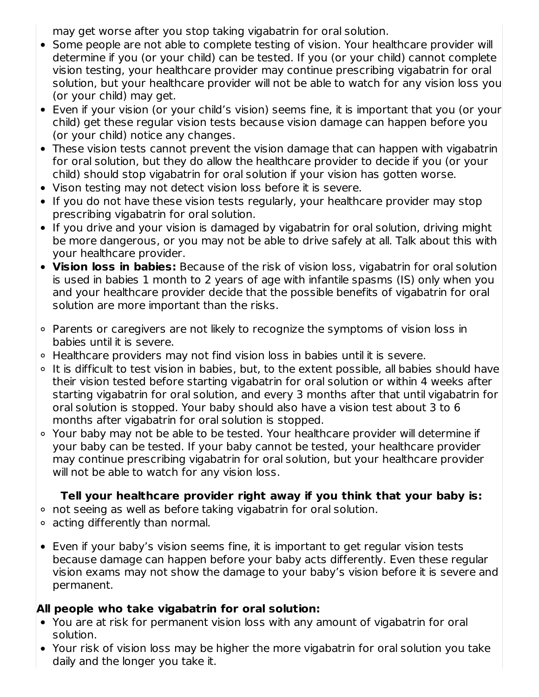may get worse after you stop taking vigabatrin for oral solution.

- Some people are not able to complete testing of vision. Your healthcare provider will determine if you (or your child) can be tested. If you (or your child) cannot complete vision testing, your healthcare provider may continue prescribing vigabatrin for oral solution, but your healthcare provider will not be able to watch for any vision loss you (or your child) may get.
- Even if your vision (or your child's vision) seems fine, it is important that you (or your child) get these regular vision tests because vision damage can happen before you (or your child) notice any changes.
- These vision tests cannot prevent the vision damage that can happen with vigabatrin for oral solution, but they do allow the healthcare provider to decide if you (or your child) should stop vigabatrin for oral solution if your vision has gotten worse.
- Vison testing may not detect vision loss before it is severe.
- If you do not have these vision tests regularly, your healthcare provider may stop prescribing vigabatrin for oral solution.
- If you drive and your vision is damaged by vigabatrin for oral solution, driving might be more dangerous, or you may not be able to drive safely at all. Talk about this with your healthcare provider.
- **Vision loss in babies:** Because of the risk of vision loss, vigabatrin for oral solution is used in babies 1 month to 2 years of age with infantile spasms (IS) only when you and your healthcare provider decide that the possible benefits of vigabatrin for oral solution are more important than the risks.
- Parents or caregivers are not likely to recognize the symptoms of vision loss in babies until it is severe.
- Healthcare providers may not find vision loss in babies until it is severe.
- $\circ$  It is difficult to test vision in babies, but, to the extent possible, all babies should have their vision tested before starting vigabatrin for oral solution or within 4 weeks after starting vigabatrin for oral solution, and every 3 months after that until vigabatrin for oral solution is stopped. Your baby should also have a vision test about 3 to 6 months after vigabatrin for oral solution is stopped.
- Your baby may not be able to be tested. Your healthcare provider will determine if your baby can be tested. If your baby cannot be tested, your healthcare provider may continue prescribing vigabatrin for oral solution, but your healthcare provider will not be able to watch for any vision loss.

# **Tell your healthcare provider right away if you think that your baby is:**

- not seeing as well as before taking vigabatrin for oral solution.
- acting differently than normal.
- Even if your baby's vision seems fine, it is important to get regular vision tests because damage can happen before your baby acts differently. Even these regular vision exams may not show the damage to your baby's vision before it is severe and permanent.

# **All people who take vigabatrin for oral solution:**

- You are at risk for permanent vision loss with any amount of vigabatrin for oral solution.
- Your risk of vision loss may be higher the more vigabatrin for oral solution you take daily and the longer you take it.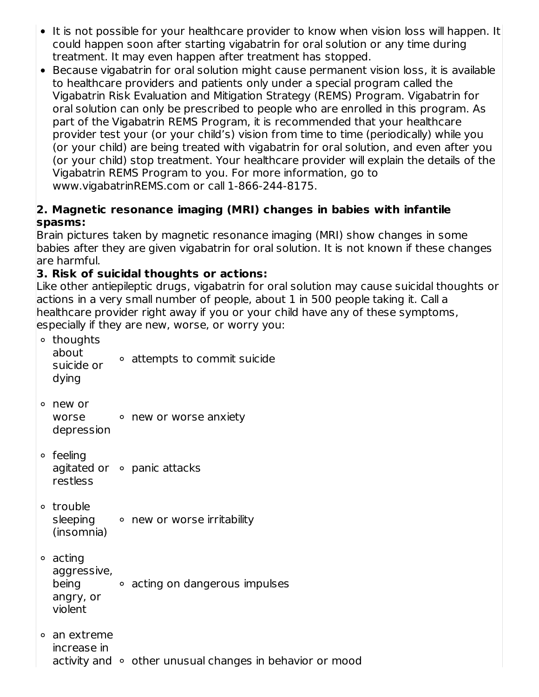- It is not possible for your healthcare provider to know when vision loss will happen. It could happen soon after starting vigabatrin for oral solution or any time during treatment. It may even happen after treatment has stopped.
- Because vigabatrin for oral solution might cause permanent vision loss, it is available to healthcare providers and patients only under a special program called the Vigabatrin Risk Evaluation and Mitigation Strategy (REMS) Program. Vigabatrin for oral solution can only be prescribed to people who are enrolled in this program. As part of the Vigabatrin REMS Program, it is recommended that your healthcare provider test your (or your child's) vision from time to time (periodically) while you (or your child) are being treated with vigabatrin for oral solution, and even after you (or your child) stop treatment. Your healthcare provider will explain the details of the Vigabatrin REMS Program to you. For more information, go to www.vigabatrinREMS.com or call 1-866-244-8175.

### **2. Magnetic resonance imaging (MRI) changes in babies with infantile spasms:**

Brain pictures taken by magnetic resonance imaging (MRI) show changes in some babies after they are given vigabatrin for oral solution. It is not known if these changes are harmful.

# **3. Risk of suicidal thoughts or actions:**

Like other antiepileptic drugs, vigabatrin for oral solution may cause suicidal thoughts or actions in a very small number of people, about 1 in 500 people taking it. Call a healthcare provider right away if you or your child have any of these symptoms, especially if they are new, worse, or worry you:

```
<sup>o</sup> thoughts
  about
  suicide or
  dying
              attempts to commit suicide
new or
  worse
  depression
          new or worse anxiety
feeling
  agitated or
panic attacks
  restless
trouble
  sleeping onew or worse irritability
  (insomnia)
acting
  aggressive,
  being
  angry, or
  violent
            acting on dangerous impulses
an extreme
  increase in
  activity and \circ other unusual changes in behavior or mood
```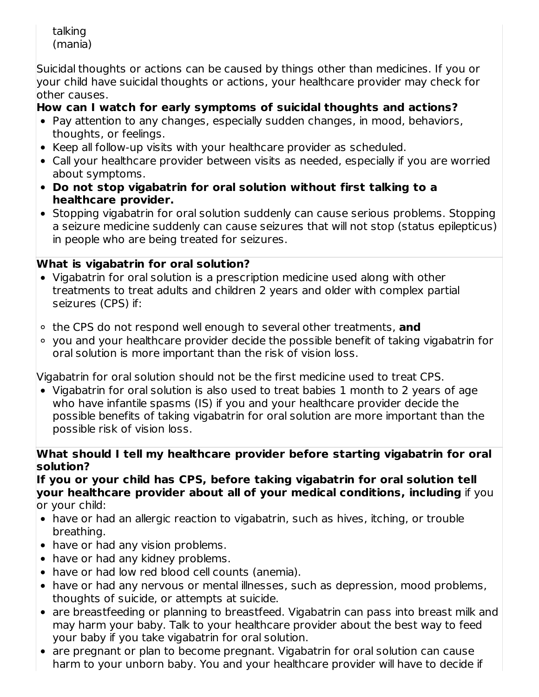talking (mania)

Suicidal thoughts or actions can be caused by things other than medicines. If you or  $\,$  vour child have suicidal thoughts or actions, your healthcare provider may check for other causes.

# **How can I watch for early symptoms of suicidal thoughts and actions?**

- Pay attention to any changes, especially sudden changes, in mood, behaviors, thoughts, or feelings.
- Keep all follow-up visits with your healthcare provider as scheduled.
- Call your healthcare provider between visits as needed, especially if you are worried about symptoms.
- **Do not stop vigabatrin for oral solution without first talking to a healthcare provider.**
- Stopping vigabatrin for oral solution suddenly can cause serious problems. Stopping a seizure medicine suddenly can cause seizures that will not stop (status epilepticus) in people who are being treated for seizures.

# **What is vigabatrin for oral solution?**

- Vigabatrin for oral solution is a prescription medicine used along with other treatments to treat adults and children 2 years and older with complex partial seizures (CPS) if:
- the CPS do not respond well enough to several other treatments, **and**
- you and your healthcare provider decide the possible benefit of taking vigabatrin for oral solution is more important than the risk of vision loss.

Vigabatrin for oral solution should not be the first medicine used to treat CPS.

Vigabatrin for oral solution is also used to treat babies 1 month to 2 years of age who have infantile spasms (IS) if you and your healthcare provider decide the possible benefits of taking vigabatrin for oral solution are more important than the possible risk of vision loss.

### **What should I tell my healthcare provider before starting vigabatrin for oral solution?**

**If you or your child has CPS, before taking vigabatrin for oral solution tell your healthcare provider about all of your medical conditions, including** if you or your child:

- have or had an allergic reaction to vigabatrin, such as hives, itching, or trouble breathing.
- have or had any vision problems.
- have or had any kidney problems.
- have or had low red blood cell counts (anemia).
- have or had any nervous or mental illnesses, such as depression, mood problems, thoughts of suicide, or attempts at suicide.
- are breastfeeding or planning to breastfeed. Vigabatrin can pass into breast milk and may harm your baby. Talk to your healthcare provider about the best way to feed your baby if you take vigabatrin for oral solution.
- are pregnant or plan to become pregnant. Vigabatrin for oral solution can cause harm to your unborn baby. You and your healthcare provider will have to decide if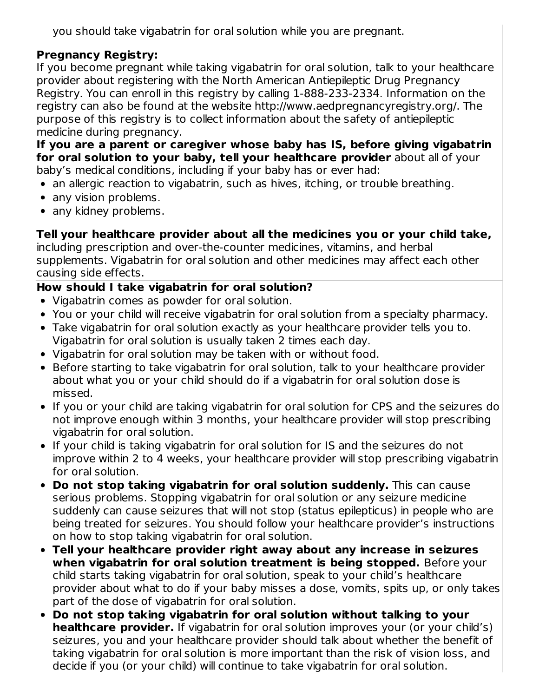you should take vigabatrin for oral solution while you are pregnant.

# **Pregnancy Registry:**

If you become pregnant while taking vigabatrin for oral solution, talk to your healthcare provider about registering with the North American Antiepileptic Drug Pregnancy Registry. You can enroll in this registry by calling 1-888-233-2334. Information on the registry can also be found at the website http://www.aedpregnancyregistry.org/. The purpose of this registry is to collect information about the safety of antiepileptic medicine during pregnancy.

**If you are a parent or caregiver whose baby has IS, before giving vigabatrin for oral solution to your baby, tell your healthcare provider** about all of your baby's medical conditions, including if your baby has or ever had:

- an allergic reaction to vigabatrin, such as hives, itching, or trouble breathing.
- any vision problems.
- any kidney problems.

# **Tell your healthcare provider about all the medicines you or your child take,**

including prescription and over-the-counter medicines, vitamins, and herbal supplements. Vigabatrin for oral solution and other medicines may affect each other causing side effects.

# **How should I take vigabatrin for oral solution?**

- Vigabatrin comes as powder for oral solution.
- You or your child will receive vigabatrin for oral solution from a specialty pharmacy.
- Take vigabatrin for oral solution exactly as your healthcare provider tells you to. Vigabatrin for oral solution is usually taken 2 times each day.
- Vigabatrin for oral solution may be taken with or without food.
- Before starting to take vigabatrin for oral solution, talk to your healthcare provider about what you or your child should do if a vigabatrin for oral solution dose is missed.
- If you or your child are taking vigabatrin for oral solution for CPS and the seizures do not improve enough within 3 months, your healthcare provider will stop prescribing vigabatrin for oral solution.
- If your child is taking vigabatrin for oral solution for IS and the seizures do not improve within 2 to 4 weeks, your healthcare provider will stop prescribing vigabatrin for oral solution.
- **Do not stop taking vigabatrin for oral solution suddenly.** This can cause serious problems. Stopping vigabatrin for oral solution or any seizure medicine suddenly can cause seizures that will not stop (status epilepticus) in people who are being treated for seizures. You should follow your healthcare provider's instructions on how to stop taking vigabatrin for oral solution.
- **Tell your healthcare provider right away about any increase in seizures when vigabatrin for oral solution treatment is being stopped.** Before your child starts taking vigabatrin for oral solution, speak to your child's healthcare provider about what to do if your baby misses a dose, vomits, spits up, or only takes part of the dose of vigabatrin for oral solution.
- **Do not stop taking vigabatrin for oral solution without talking to your healthcare provider.** If vigabatrin for oral solution improves your (or your child's) seizures, you and your healthcare provider should talk about whether the benefit of taking vigabatrin for oral solution is more important than the risk of vision loss, and decide if you (or your child) will continue to take vigabatrin for oral solution.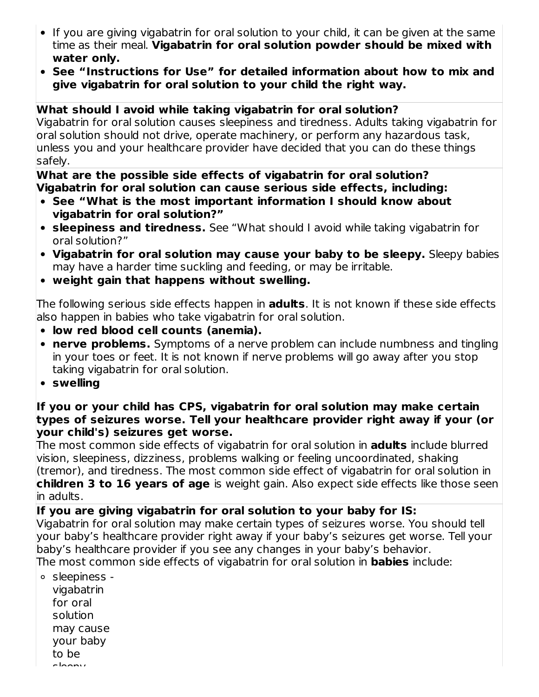- If you are giving vigabatrin for oral solution to your child, it can be given at the same time as their meal. **Vigabatrin for oral solution powder should be mixed with water only.**
- **See "Instructions for Use" for detailed information about how to mix and give vigabatrin for oral solution to your child the right way.**

### **What should I avoid while taking vigabatrin for oral solution?**

Vigabatrin for oral solution causes sleepiness and tiredness. Adults taking vigabatrin for oral solution should not drive, operate machinery, or perform any hazardous task, unless you and your healthcare provider have decided that you can do these things safely.

### **What are the possible side effects of vigabatrin for oral solution? Vigabatrin for oral solution can cause serious side effects, including:**

- **See "What is the most important information I should know about vigabatrin for oral solution?"**
- **sleepiness and tiredness.** See "What should I avoid while taking vigabatrin for oral solution?"
- **Vigabatrin for oral solution may cause your baby to be sleepy.** Sleepy babies may have a harder time suckling and feeding, or may be irritable.
- **weight gain that happens without swelling.**

The following serious side effects happen in **adults**. It is not known if these side effects also happen in babies who take vigabatrin for oral solution.

- **low red blood cell counts (anemia).**
- **nerve problems.** Symptoms of a nerve problem can include numbness and tingling in your toes or feet. It is not known if nerve problems will go away after you stop taking vigabatrin for oral solution.
- **swelling**

### **If you or your child has CPS, vigabatrin for oral solution may make certain types of seizures worse. Tell your healthcare provider right away if your (or your child's) seizures get worse.**

The most common side effects of vigabatrin for oral solution in **adults** include blurred vision, sleepiness, dizziness, problems walking or feeling uncoordinated, shaking (tremor), and tiredness. The most common side effect of vigabatrin for oral solution in **children 3 to 16 years of age** is weight gain. Also expect side effects like those seen in adults.

**If you are giving vigabatrin for oral solution to your baby for IS:** Vigabatrin for oral solution may make certain types of seizures worse. You should tell your baby's healthcare provider right away if your baby's seizures get worse. Tell your baby's healthcare provider if you see any changes in your baby's behavior. The most common side effects of vigabatrin for oral solution in **babies** include:

sleepiness vigabatrin for oral solution may cause your baby to be sleepy.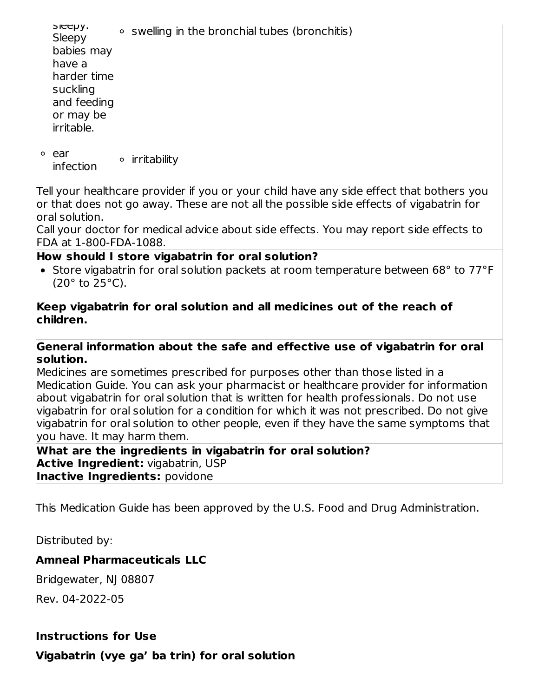sleepy. **Sleepy** babies may have a harder time suckling and feeding or may be irritable. swelling in the bronchial tubes (bronchitis) ear infection irritability

Tell your healthcare provider if you or your child have any side effect that bothers you or that does not go away. These are not all the possible side effects of vigabatrin for oral solution.

Call your doctor for medical advice about side effects. You may report side effects to FDA at 1-800-FDA-1088.

### **How should I store vigabatrin for oral solution?**

• Store vigabatrin for oral solution packets at room temperature between 68° to 77°F (20° to 25°C).

### **Keep vigabatrin for oral solution and all medicines out of the reach of children.**

#### **General information about the safe and effective use of vigabatrin for oral solution.**

Medicines are sometimes prescribed for purposes other than those listed in a Medication Guide. You can ask your pharmacist or healthcare provider for information about vigabatrin for oral solution that is written for health professionals. Do not use vigabatrin for oral solution for a condition for which it was not prescribed. Do not give vigabatrin for oral solution to other people, even if they have the same symptoms that you have. It may harm them.

#### **What are the ingredients in vigabatrin for oral solution? Active Ingredient:** vigabatrin, USP **Inactive Ingredients:** povidone

This Medication Guide has been approved by the U.S. Food and Drug Administration.

Distributed by:

### **Amneal Pharmaceuticals LLC**

Bridgewater, NJ 08807

Rev. 04-2022-05

### **Instructions for Use**

**Vigabatrin (vye ga' ba trin) for oral solution**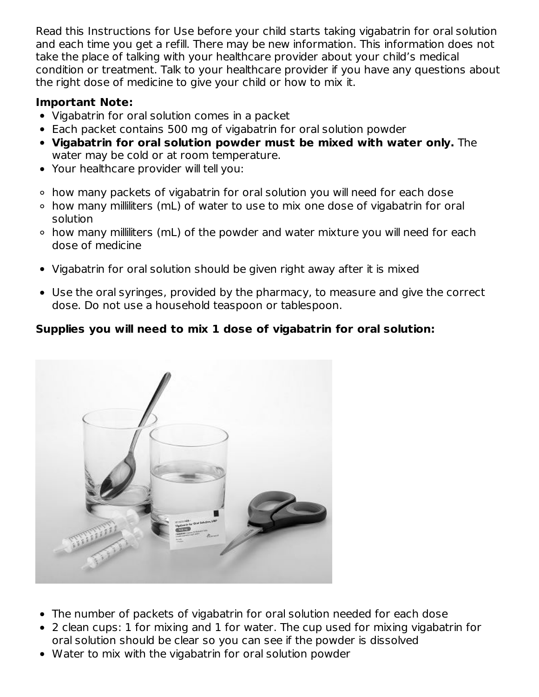Read this Instructions for Use before your child starts taking vigabatrin for oral solution and each time you get a refill. There may be new information. This information does not take the place of talking with your healthcare provider about your child's medical condition or treatment. Talk to your healthcare provider if you have any questions about the right dose of medicine to give your child or how to mix it.

### **Important Note:**

- Vigabatrin for oral solution comes in a packet
- Each packet contains 500 mg of vigabatrin for oral solution powder
- **Vigabatrin for oral solution powder must be mixed with water only.** The water may be cold or at room temperature.
- Your healthcare provider will tell you:
- how many packets of vigabatrin for oral solution you will need for each dose
- how many milliliters (mL) of water to use to mix one dose of vigabatrin for oral solution
- how many milliliters (mL) of the powder and water mixture you will need for each dose of medicine
- Vigabatrin for oral solution should be given right away after it is mixed
- Use the oral syringes, provided by the pharmacy, to measure and give the correct dose. Do not use a household teaspoon or tablespoon.

# **Supplies you will need to mix 1 dose of vigabatrin for oral solution:**



- The number of packets of vigabatrin for oral solution needed for each dose
- 2 clean cups: 1 for mixing and 1 for water. The cup used for mixing vigabatrin for oral solution should be clear so you can see if the powder is dissolved
- Water to mix with the vigabatrin for oral solution powder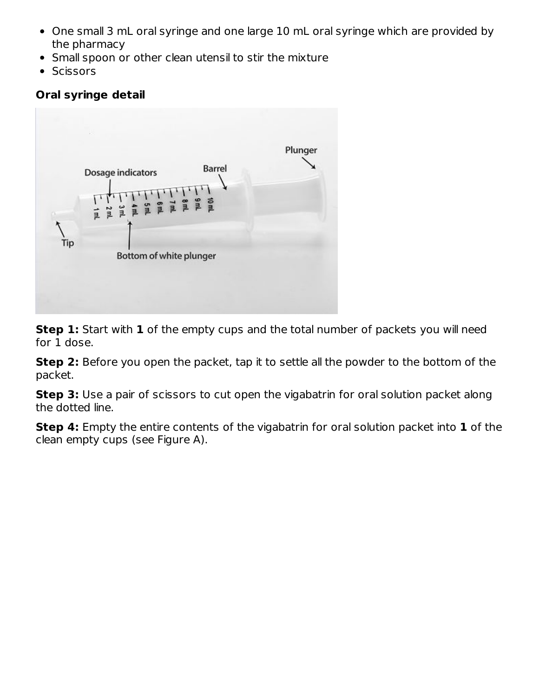- One small 3 mL oral syringe and one large 10 mL oral syringe which are provided by the pharmacy
- Small spoon or other clean utensil to stir the mixture
- Scissors

# **Oral syringe detail**



**Step 1:** Start with **1** of the empty cups and the total number of packets you will need for 1 dose.

**Step 2:** Before you open the packet, tap it to settle all the powder to the bottom of the packet.

**Step 3:** Use a pair of scissors to cut open the vigabatrin for oral solution packet along the dotted line.

**Step 4:** Empty the entire contents of the vigabatrin for oral solution packet into **1** of the clean empty cups (see Figure A).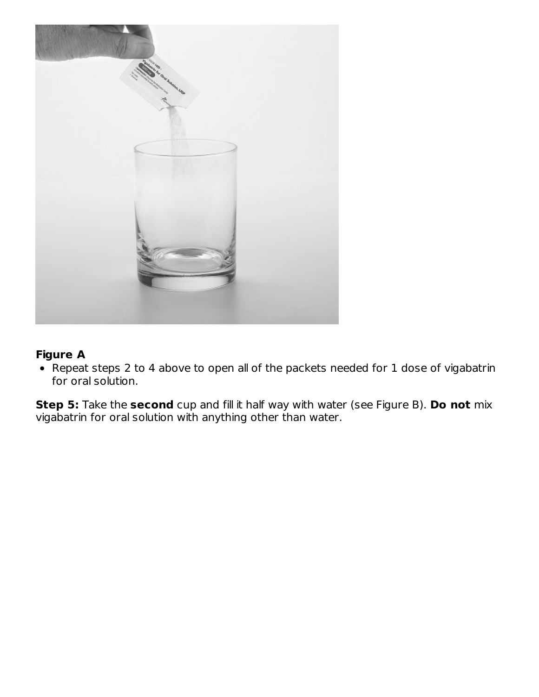

### **Figure A**

Repeat steps 2 to 4 above to open all of the packets needed for 1 dose of vigabatrin for oral solution.

**Step 5:** Take the **second** cup and fill it half way with water (see Figure B). **Do not** mix vigabatrin for oral solution with anything other than water.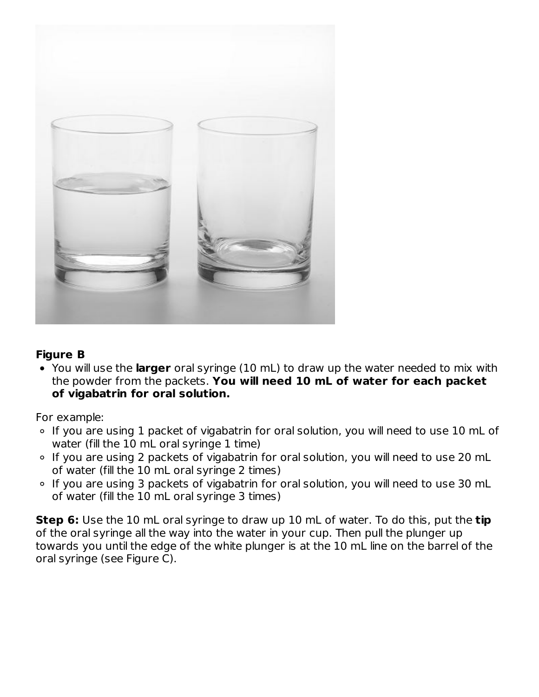

### **Figure B**

You will use the **larger** oral syringe (10 mL) to draw up the water needed to mix with the powder from the packets. **You will need 10 mL of water for each packet of vigabatrin for oral solution.**

For example:

- <sup>o</sup> If you are using 1 packet of vigabatrin for oral solution, you will need to use 10 mL of water (fill the 10 mL oral syringe 1 time)
- ∘ If you are using 2 packets of vigabatrin for oral solution, you will need to use 20 mL of water (fill the 10 mL oral syringe 2 times)
- If you are using 3 packets of vigabatrin for oral solution, you will need to use 30 mL of water (fill the 10 mL oral syringe 3 times)

**Step 6:** Use the 10 mL oral syringe to draw up 10 mL of water. To do this, put the **tip** of the oral syringe all the way into the water in your cup. Then pull the plunger up towards you until the edge of the white plunger is at the 10 mL line on the barrel of the oral syringe (see Figure C).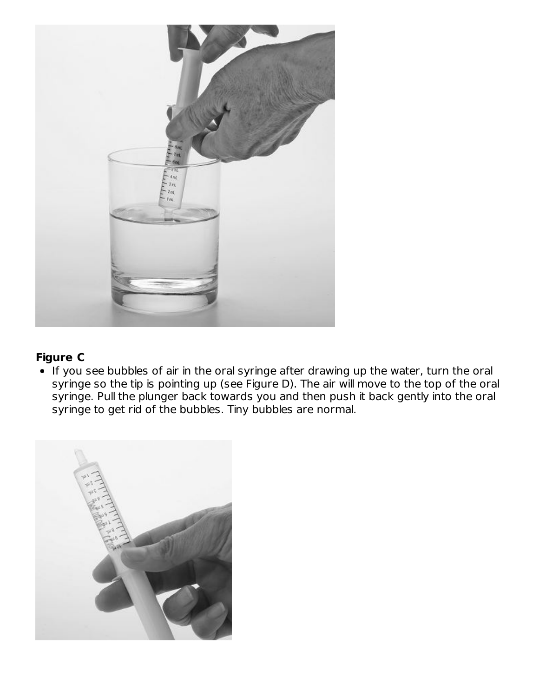

### **Figure C**

If you see bubbles of air in the oral syringe after drawing up the water, turn the oral syringe so the tip is pointing up (see Figure D). The air will move to the top of the oral syringe. Pull the plunger back towards you and then push it back gently into the oral syringe to get rid of the bubbles. Tiny bubbles are normal.

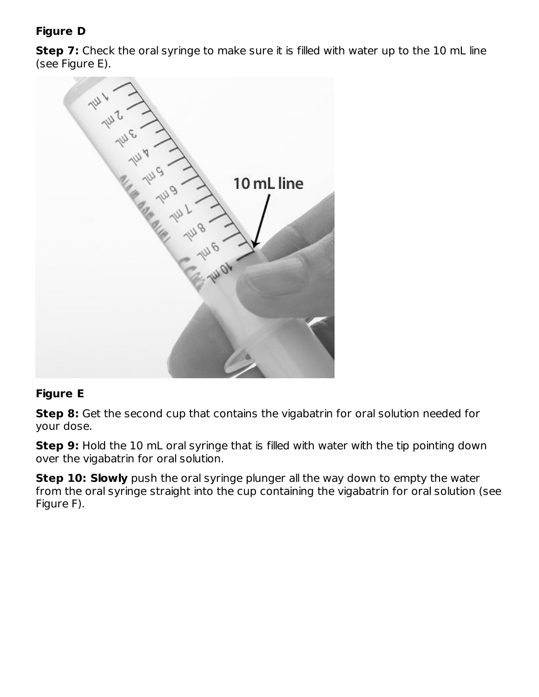# **Figure D**

**Step 7:** Check the oral syringe to make sure it is filled with water up to the 10 mL line (see Figure E).



# **Figure E**

**Step 8:** Get the second cup that contains the vigabatrin for oral solution needed for your dose.

**Step 9:** Hold the 10 mL oral syringe that is filled with water with the tip pointing down over the vigabatrin for oral solution.

**Step 10: Slowly** push the oral syringe plunger all the way down to empty the water from the oral syringe straight into the cup containing the vigabatrin for oral solution (see Figure F).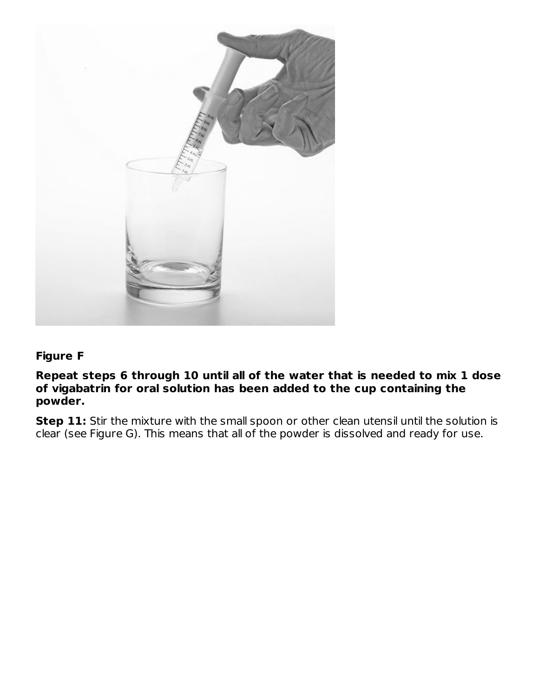

### **Figure F**

**Repeat steps 6 through 10 until all of the water that is needed to mix 1 dose of vigabatrin for oral solution has been added to the cup containing the powder.**

**Step 11:** Stir the mixture with the small spoon or other clean utensil until the solution is clear (see Figure G). This means that all of the powder is dissolved and ready for use.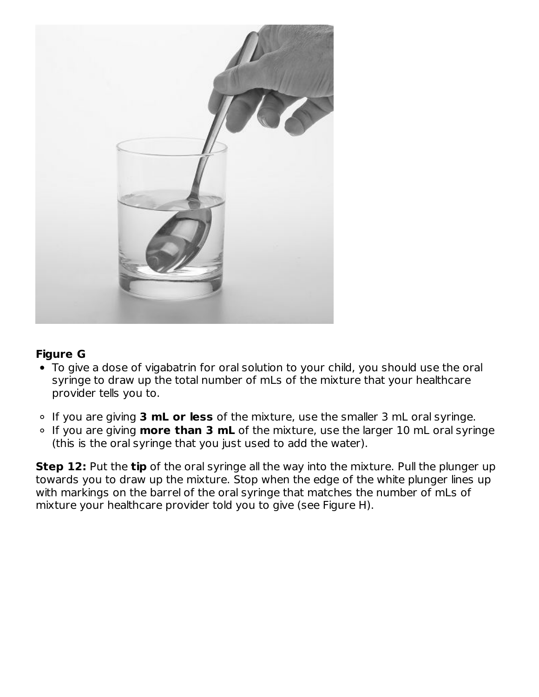

### **Figure G**

- To give a dose of vigabatrin for oral solution to your child, you should use the oral syringe to draw up the total number of mLs of the mixture that your healthcare provider tells you to.
- If you are giving **3 mL or less** of the mixture, use the smaller 3 mL oral syringe.
- If you are giving **more than 3 mL** of the mixture, use the larger 10 mL oral syringe (this is the oral syringe that you just used to add the water).

**Step 12:** Put the **tip** of the oral syringe all the way into the mixture. Pull the plunger up towards you to draw up the mixture. Stop when the edge of the white plunger lines up with markings on the barrel of the oral syringe that matches the number of mLs of mixture your healthcare provider told you to give (see Figure H).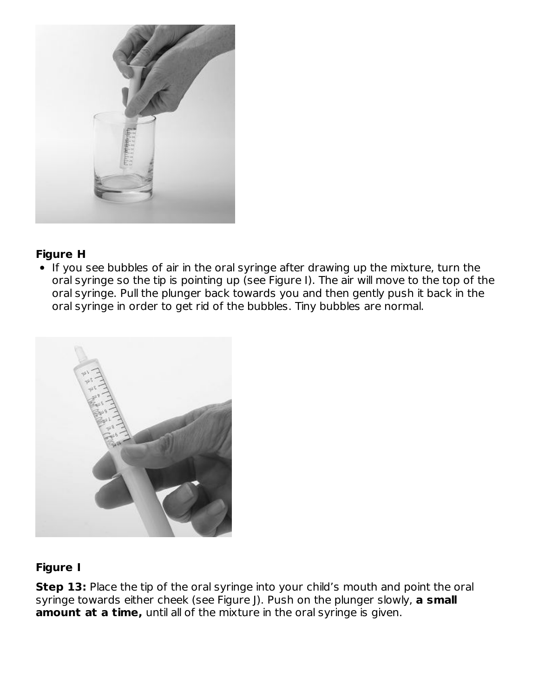

### **Figure H**

• If you see bubbles of air in the oral syringe after drawing up the mixture, turn the oral syringe so the tip is pointing up (see Figure I). The air will move to the top of the oral syringe. Pull the plunger back towards you and then gently push it back in the oral syringe in order to get rid of the bubbles. Tiny bubbles are normal.



# **Figure I**

**Step 13:** Place the tip of the oral syringe into your child's mouth and point the oral syringe towards either cheek (see Figure J). Push on the plunger slowly, **a small amount at a time,** until all of the mixture in the oral syringe is given.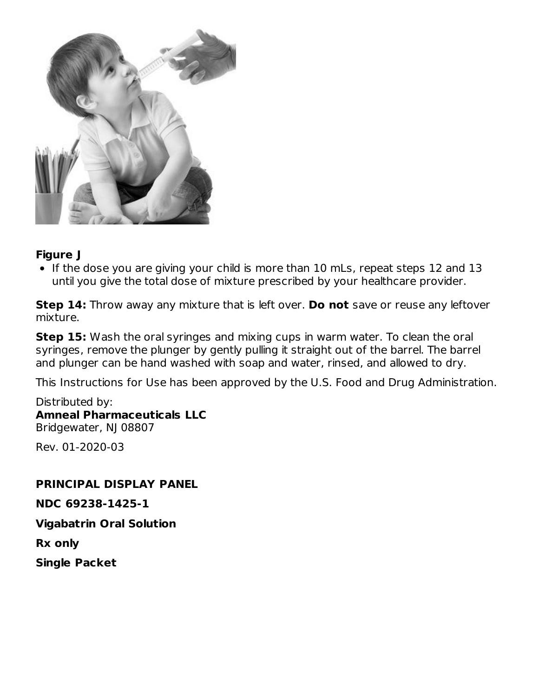

### **Figure J**

• If the dose you are giving your child is more than 10 mLs, repeat steps 12 and 13 until you give the total dose of mixture prescribed by your healthcare provider.

**Step 14:** Throw away any mixture that is left over. **Do not** save or reuse any leftover mixture.

**Step 15:** Wash the oral syringes and mixing cups in warm water. To clean the oral syringes, remove the plunger by gently pulling it straight out of the barrel. The barrel and plunger can be hand washed with soap and water, rinsed, and allowed to dry.

This Instructions for Use has been approved by the U.S. Food and Drug Administration.

Distributed by: **Amneal Pharmaceuticals LLC** Bridgewater, NJ 08807

Rev. 01-2020-03

#### **PRINCIPAL DISPLAY PANEL**

**NDC 69238-1425-1**

**Vigabatrin Oral Solution**

**Rx only**

**Single Packet**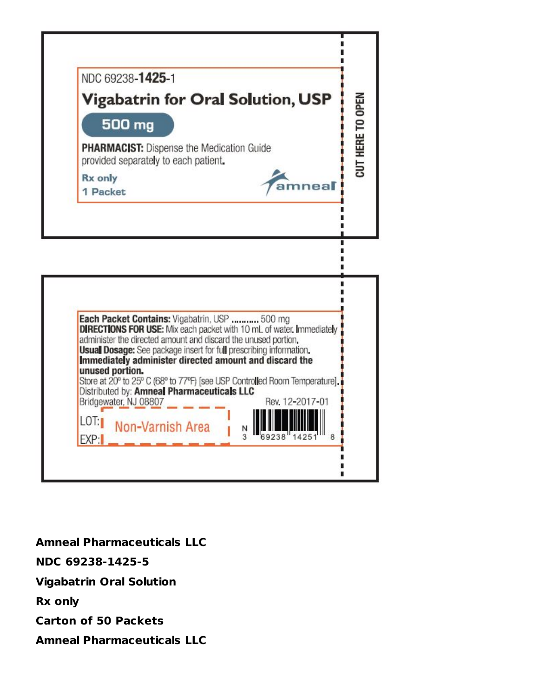

٠

|       | Each Packet Contains: Vigabatrin, USP  500 mg                                                                                                 |                 |
|-------|-----------------------------------------------------------------------------------------------------------------------------------------------|-----------------|
|       | <b>DIRECTIONS FOR USE:</b> Mix each packet with 10 mL of water. Immediately<br>administer the directed amount and discard the unused portion. |                 |
|       | <b>Usual Dosage:</b> See package insert for full prescribing information.                                                                     |                 |
|       | Immediately administer directed amount and discard the<br>unused portion.                                                                     |                 |
|       | Store at 20° to 25° C (68° to 77°F) [see USP Controlled Room Temperature].<br>Distributed by: Amneal Pharmaceuticals LLC                      |                 |
|       | Bridgewater, NJ 08807                                                                                                                         | Rev. 12-2017-01 |
| LOT:1 |                                                                                                                                               |                 |
|       | Non-Varnish Area                                                                                                                              | Ν               |

**Amneal Pharmaceuticals LLC NDC 69238-1425-5 Vigabatrin Oral Solution Rx only Carton of 50 Packets Amneal Pharmaceuticals LLC**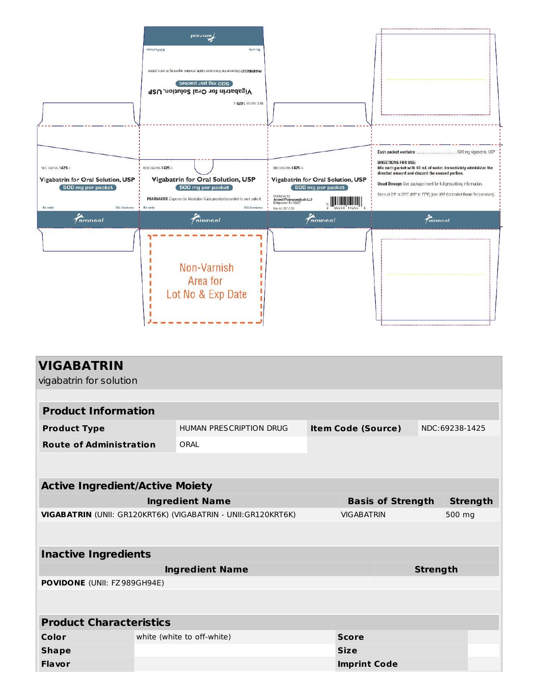|                                                                                                     | $J$ eanme<br>Ајцо ху<br><b>BO Packets</b><br>PHAMADIST: Disperse the friedrate older provided seperate to escal patient<br>poo wd bet beyong<br>Vigabatrin for Oral Solution, USP<br>ADC 69238-1425-5 |                                                                                                                                                                                                                             |                                                                                                                                                                                                                                                                                                     |
|-----------------------------------------------------------------------------------------------------|-------------------------------------------------------------------------------------------------------------------------------------------------------------------------------------------------------|-----------------------------------------------------------------------------------------------------------------------------------------------------------------------------------------------------------------------------|-----------------------------------------------------------------------------------------------------------------------------------------------------------------------------------------------------------------------------------------------------------------------------------------------------|
| NDC 69238-1425-5<br>Vigabatrin for Oral Solution, USP<br>500 mg per packet<br>Rx only<br>50 Packets | MDC 69238-1425-5<br>Vigabatrin for Oral Solution, USP<br>500 mg per packet<br>PHARMACIST: Dispense the Medication Guide provided separately to each patient.<br>Rx only<br>50 Packets                 | NDC 69238-1425-5<br>Vigabatrin for Oral Solution, USP<br>500 mg per packet<br>Distributed by<br>Amneal Pharmaceuticals LLC<br>Bridgewater, NJ 08807<br>$\frac{1}{3}$ $\frac{1}{69238}$ $\frac{1}{14255}$<br>Rev. 07-2017-00 | <b>DIRECTIONS FOR USE:</b><br>Mix each packet with 10 mL of water. Immediately administer the<br>directed amount and discard the unused portion.<br>Usual Dosage: See package insert for full prescribing information.<br>Store at 20° to 25°C (68° to 77°F) [see USP Controlled Room Temperature]. |
| <i>amneal</i>                                                                                       | <i>f</i> amneal<br>Non-Varnish<br>Area for<br>Lot No & Exp Date                                                                                                                                       | amneal                                                                                                                                                                                                                      | $f$ amneal                                                                                                                                                                                                                                                                                          |

| <b>VIGABATRIN</b>                                             |  |                            |                             |  |                 |                 |
|---------------------------------------------------------------|--|----------------------------|-----------------------------|--|-----------------|-----------------|
| vigabatrin for solution                                       |  |                            |                             |  |                 |                 |
|                                                               |  |                            |                             |  |                 |                 |
| <b>Product Information</b>                                    |  |                            |                             |  |                 |                 |
| <b>Product Type</b>                                           |  | HUMAN PRESCRIPTION DRUG    | <b>Item Code (Source)</b>   |  |                 | NDC:69238-1425  |
| <b>Route of Administration</b>                                |  | ORAL                       |                             |  |                 |                 |
|                                                               |  |                            |                             |  |                 |                 |
|                                                               |  |                            |                             |  |                 |                 |
| <b>Active Ingredient/Active Moiety</b>                        |  |                            |                             |  |                 |                 |
|                                                               |  | <b>Ingredient Name</b>     | <b>Basis of Strength</b>    |  |                 | <b>Strength</b> |
| VIGABATRIN (UNII: GR120KRT6K) (VIGABATRIN - UNII: GR120KRT6K) |  |                            | <b>VIGABATRIN</b><br>500 mg |  |                 |                 |
|                                                               |  |                            |                             |  |                 |                 |
|                                                               |  |                            |                             |  |                 |                 |
| <b>Inactive Ingredients</b>                                   |  |                            |                             |  |                 |                 |
|                                                               |  | <b>Ingredient Name</b>     |                             |  | <b>Strength</b> |                 |
| POVIDONE (UNII: FZ989GH94E)                                   |  |                            |                             |  |                 |                 |
|                                                               |  |                            |                             |  |                 |                 |
|                                                               |  |                            |                             |  |                 |                 |
| <b>Product Characteristics</b>                                |  |                            |                             |  |                 |                 |
| Color                                                         |  | white (white to off-white) | <b>Score</b>                |  |                 |                 |
| <b>Shape</b>                                                  |  |                            | <b>Size</b>                 |  |                 |                 |
| Flavor                                                        |  |                            | <b>Imprint Code</b>         |  |                 |                 |